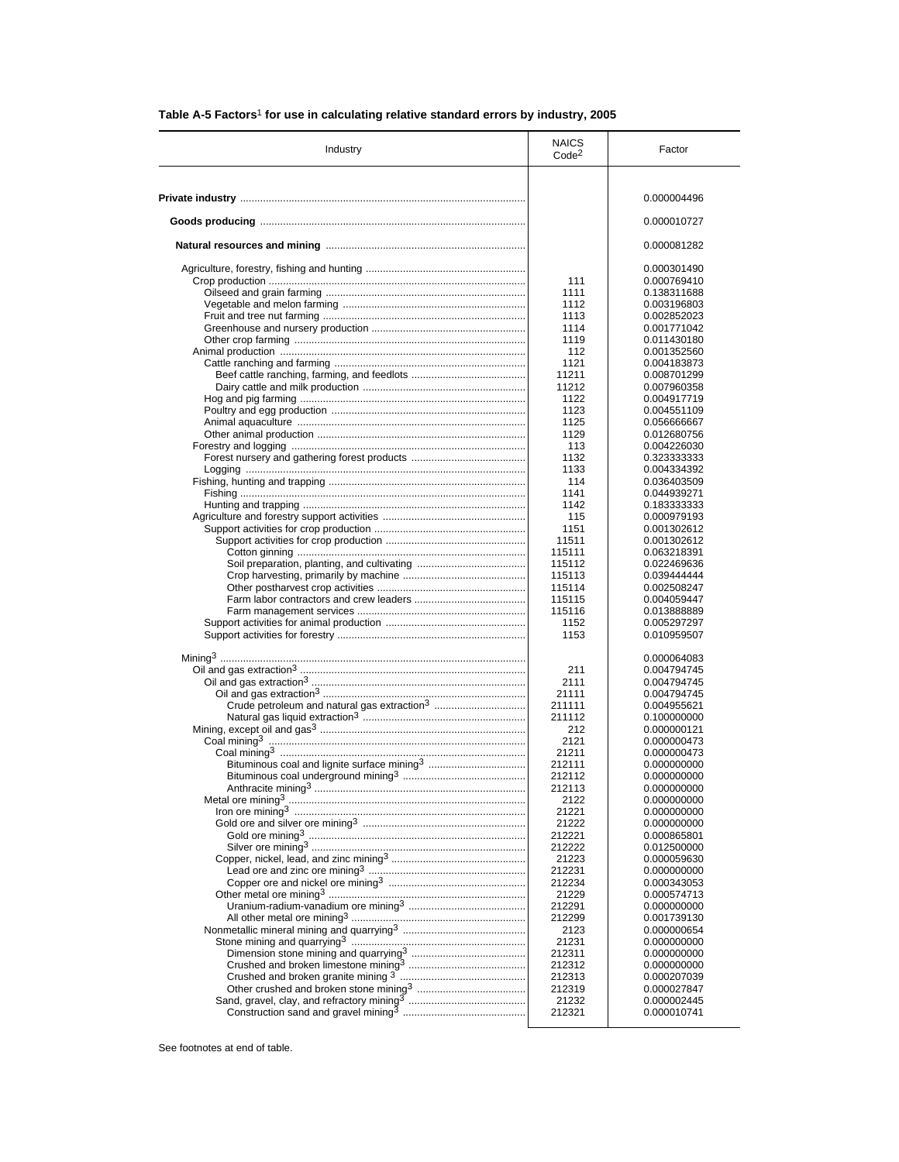| Industry                                                | <b>NAICS</b><br>Code <sup>2</sup> | Factor                     |
|---------------------------------------------------------|-----------------------------------|----------------------------|
|                                                         |                                   |                            |
|                                                         |                                   | 0.000004496                |
|                                                         |                                   | 0.000010727                |
|                                                         |                                   | 0.000081282                |
|                                                         |                                   | 0.000301490                |
|                                                         | 111                               | 0.000769410                |
|                                                         | 1111                              | 0.138311688                |
|                                                         | 1112                              | 0.003196803                |
|                                                         | 1113                              | 0.002852023                |
|                                                         | 1114                              | 0.001771042                |
|                                                         | 1119                              | 0.011430180                |
|                                                         | 112                               | 0.001352560                |
|                                                         | 1121                              | 0.004183873                |
|                                                         | 11211                             | 0.008701299                |
|                                                         | 11212                             | 0.007960358                |
|                                                         | 1122                              | 0.004917719                |
|                                                         | 1123                              | 0.004551109                |
|                                                         | 1125<br>1129                      | 0.056666667                |
|                                                         | 113                               | 0.012680756                |
|                                                         | 1132                              | 0.004226030<br>0.323333333 |
|                                                         | 1133                              | 0.004334392                |
|                                                         | 114                               | 0.036403509                |
|                                                         | 1141                              | 0.044939271                |
|                                                         | 1142                              | 0.183333333                |
|                                                         | 115                               | 0.000979193                |
|                                                         | 1151                              | 0.001302612                |
|                                                         | 11511                             | 0.001302612                |
|                                                         | 115111                            | 0.063218391                |
|                                                         | 115112                            | 0.022469636                |
|                                                         | 115113                            | 0.039444444                |
|                                                         | 115114                            | 0.002508247                |
|                                                         | 115115                            | 0.004059447                |
|                                                         | 115116                            | 0.013888889                |
|                                                         | 1152                              | 0.005297297                |
|                                                         | 1153                              | 0.010959507                |
|                                                         |                                   | 0.000064083                |
|                                                         | 211                               | 0.004794745                |
|                                                         | 2111                              | 0.004794745                |
|                                                         | 21111                             | 0.004794745                |
| Crude petroleum and natural gas extraction <sup>3</sup> | 211111                            | 0.004955621                |
|                                                         | 211112                            | 0.100000000                |
|                                                         | 212                               | 0.000000121                |
|                                                         | 2121<br>21211                     | 0.000000473                |
| Bituminous coal and lignite surface mining <sup>3</sup> | 212111                            | 0.000000473<br>0.000000000 |
|                                                         | 212112                            | 0.000000000                |
|                                                         | 212113                            | 0.000000000                |
|                                                         | 2122                              | 0.000000000                |
|                                                         | 21221                             | 0.000000000                |
|                                                         | 21222                             | 0.000000000                |
|                                                         | 212221                            | 0.000865801                |
|                                                         | 212222                            | 0.012500000                |
|                                                         | 21223                             | 0.000059630                |
|                                                         | 212231                            | 0.000000000                |
|                                                         | 212234                            | 0.000343053                |
|                                                         | 21229                             | 0.000574713                |
|                                                         | 212291                            | 0.000000000                |
|                                                         | 212299                            | 0.001739130                |
|                                                         | 2123                              | 0.000000654                |
|                                                         | 21231                             | 0.000000000                |
|                                                         | 212311                            | 0.000000000                |
|                                                         | 212312                            | 0.000000000                |
|                                                         | 212313                            | 0.000207039                |
|                                                         | 212319                            | 0.000027847                |
|                                                         | 21232                             | 0.000002445                |
|                                                         | 212321                            | 0.000010741                |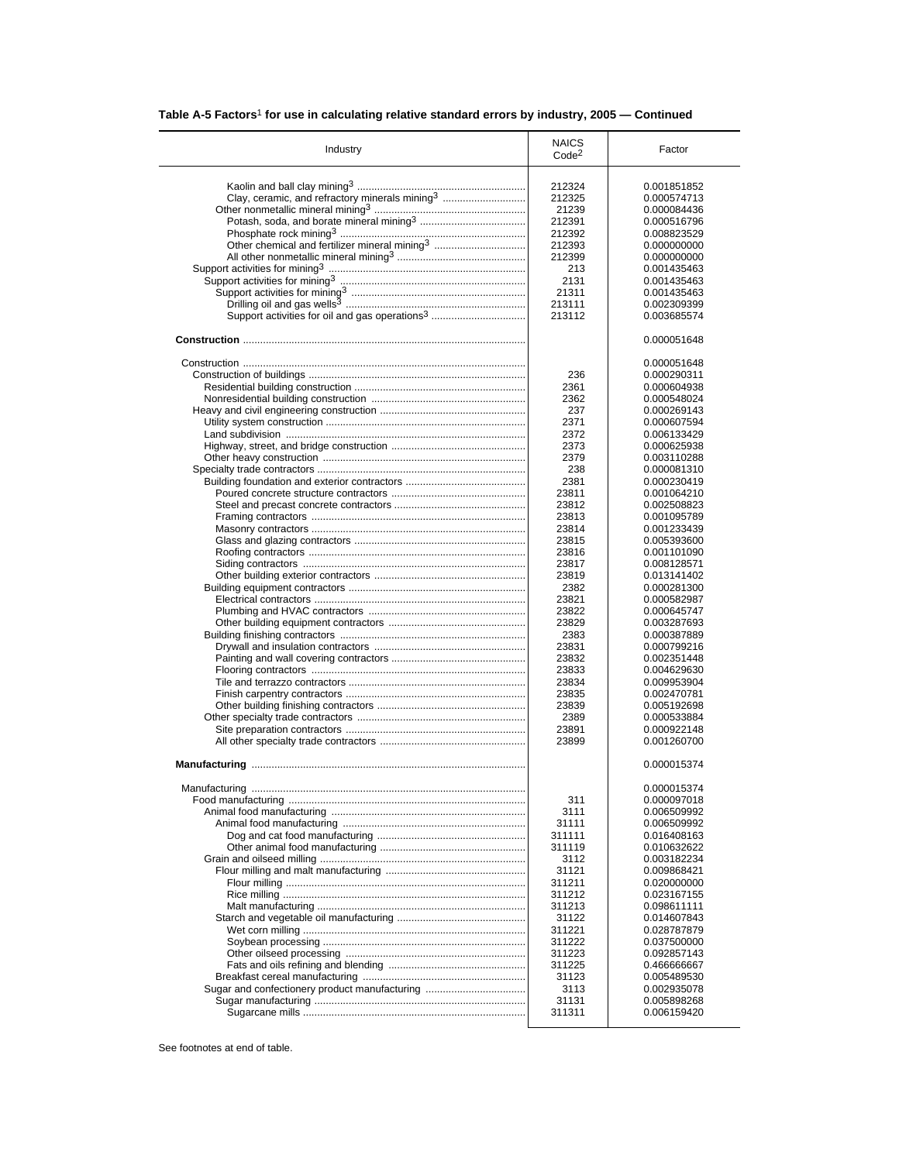| Industry                                                   | <b>NAICS</b><br>Code <sup>2</sup> | Factor                     |
|------------------------------------------------------------|-----------------------------------|----------------------------|
|                                                            |                                   |                            |
|                                                            | 212324                            | 0.001851852                |
| Clay, ceramic, and refractory minerals mining <sup>3</sup> | 212325                            | 0.000574713                |
|                                                            | 21239                             | 0.000084436                |
|                                                            | 212391                            | 0.000516796                |
|                                                            | 212392                            | 0.008823529                |
| Other chemical and fertilizer mineral mining <sup>3</sup>  | 212393                            | 0.000000000                |
|                                                            | 212399                            | 0.000000000                |
|                                                            | 213                               | 0.001435463                |
|                                                            | 2131                              |                            |
|                                                            |                                   | 0.001435463                |
|                                                            | 21311                             | 0.001435463                |
| Support activities for oil and gas operations <sup>3</sup> | 213111<br>213112                  | 0.002309399<br>0.003685574 |
|                                                            |                                   | 0.000051648                |
|                                                            |                                   |                            |
|                                                            | 236                               | 0.000051648                |
|                                                            |                                   | 0.000290311                |
|                                                            | 2361                              | 0.000604938                |
|                                                            | 2362                              | 0.000548024                |
|                                                            | 237                               | 0.000269143                |
|                                                            | 2371                              | 0.000607594                |
|                                                            | 2372                              | 0.006133429                |
|                                                            | 2373                              | 0.000625938                |
|                                                            | 2379                              | 0.003110288                |
|                                                            | 238                               |                            |
|                                                            |                                   | 0.000081310                |
|                                                            | 2381                              | 0.000230419                |
|                                                            | 23811                             | 0.001064210                |
|                                                            | 23812                             | 0.002508823                |
|                                                            | 23813                             | 0.001095789                |
|                                                            | 23814                             | 0.001233439                |
|                                                            | 23815                             | 0.005393600                |
|                                                            | 23816                             | 0.001101090                |
|                                                            | 23817                             | 0.008128571                |
|                                                            | 23819                             | 0.013141402                |
|                                                            |                                   |                            |
|                                                            | 2382                              | 0.000281300                |
|                                                            | 23821                             | 0.000582987                |
|                                                            | 23822                             | 0.000645747                |
|                                                            | 23829                             | 0.003287693                |
|                                                            | 2383                              | 0.000387889                |
|                                                            | 23831                             | 0.000799216                |
|                                                            | 23832                             | 0.002351448                |
|                                                            | 23833                             | 0.004629630                |
|                                                            | 23834                             | 0.009953904                |
|                                                            | 23835                             |                            |
|                                                            |                                   | 0.002470781                |
|                                                            | 23839                             | 0.005192698                |
|                                                            | 2389                              | 0.000533884                |
|                                                            | 23891                             | 0.000922148                |
|                                                            | 23899                             | 0.001260700                |
|                                                            |                                   | 0.000015374                |
| Manufacturing                                              |                                   | 0.000015374                |
|                                                            | 311                               | 0.000097018                |
|                                                            | 3111                              | 0.006509992                |
|                                                            | 31111                             | 0.006509992                |
|                                                            | 311111                            |                            |
|                                                            |                                   | 0.016408163                |
|                                                            | 311119                            | 0.010632622                |
|                                                            | 3112                              | 0.003182234                |
|                                                            | 31121                             | 0.009868421                |
|                                                            | 311211                            | 0.020000000                |
|                                                            | 311212                            | 0.023167155                |
|                                                            | 311213                            | 0.098611111                |
|                                                            | 31122                             | 0.014607843                |
|                                                            | 311221                            | 0.028787879                |
|                                                            | 311222                            | 0.037500000                |
|                                                            |                                   | 0.092857143                |
|                                                            |                                   |                            |
|                                                            | 311223                            |                            |
|                                                            | 311225                            | 0.466666667                |
|                                                            | 31123                             | 0.005489530                |
| Sugar and confectionery product manufacturing              | 3113                              | 0.002935078                |
|                                                            | 31131                             | 0.005898268                |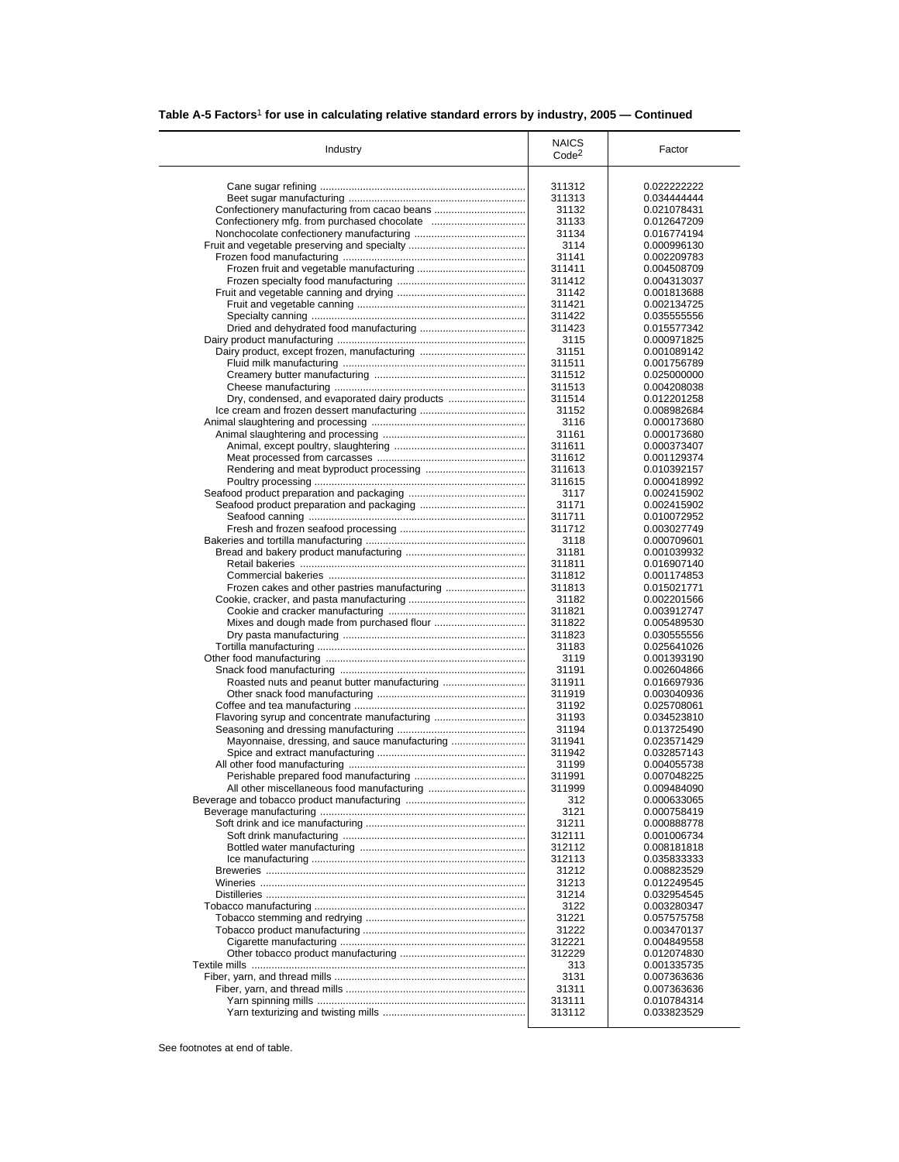|  |  |  |  | Table A-5 Factors <sup>1</sup> for use in calculating relative standard errors by industry, 2005 – Continued |
|--|--|--|--|--------------------------------------------------------------------------------------------------------------|
|--|--|--|--|--------------------------------------------------------------------------------------------------------------|

| Industry                                      | <b>NAICS</b><br>Code <sup>2</sup> | Factor                     |
|-----------------------------------------------|-----------------------------------|----------------------------|
|                                               | 311312                            | 0.022222222                |
|                                               | 311313                            | 0.034444444                |
| Confectionery manufacturing from cacao beans  | 31132                             | 0.021078431                |
|                                               | 31133                             | 0.012647209                |
|                                               | 31134                             | 0.016774194                |
|                                               | 3114                              | 0.000996130                |
|                                               | 31141                             | 0.002209783                |
|                                               | 311411                            | 0.004508709                |
|                                               | 311412                            | 0.004313037                |
|                                               | 31142                             | 0.001813688                |
|                                               | 311421                            | 0.002134725                |
|                                               | 311422                            | 0.035555556                |
|                                               | 311423                            | 0.015577342                |
|                                               | 3115                              | 0.000971825                |
|                                               | 31151                             | 0.001089142                |
|                                               | 311511                            | 0.001756789                |
|                                               | 311512<br>311513                  | 0.025000000<br>0.004208038 |
| Dry, condensed, and evaporated dairy products | 311514                            | 0.012201258                |
|                                               | 31152                             | 0.008982684                |
|                                               | 3116                              | 0.000173680                |
|                                               | 31161                             | 0.000173680                |
|                                               | 311611                            | 0.000373407                |
|                                               | 311612                            | 0.001129374                |
|                                               | 311613                            | 0.010392157                |
|                                               | 311615                            | 0.000418992                |
|                                               | 3117                              | 0.002415902                |
|                                               | 31171                             | 0.002415902                |
|                                               | 311711                            | 0.010072952                |
|                                               | 311712                            | 0.003027749                |
|                                               | 3118                              | 0.000709601                |
|                                               | 31181                             | 0.001039932                |
|                                               | 311811                            | 0.016907140                |
|                                               | 311812                            | 0.001174853                |
| Frozen cakes and other pastries manufacturing | 311813                            | 0.015021771                |
|                                               | 31182                             | 0.002201566                |
|                                               | 311821                            | 0.003912747                |
|                                               | 311822<br>311823                  | 0.005489530<br>0.030555556 |
|                                               | 31183                             | 0.025641026                |
|                                               | 3119                              | 0.001393190                |
|                                               | 31191                             | 0.002604866                |
|                                               | 311911                            | 0.016697936                |
|                                               | 311919                            | 0.003040936                |
|                                               | 31192                             | 0.025708061                |
| Flavoring syrup and concentrate manufacturing | 31193                             | 0.034523810                |
|                                               | 31194                             | 0.013725490                |
| Mayonnaise, dressing, and sauce manufacturing | 311941                            | 0.023571429                |
|                                               | 311942                            | 0.032857143                |
|                                               | 31199                             | 0.004055738                |
|                                               | 311991                            | 0.007048225                |
|                                               | 311999                            | 0.009484090                |
|                                               | 312                               | 0.000633065                |
|                                               | 3121                              | 0.000758419                |
|                                               | 31211                             | 0.000888778                |
|                                               | 312111                            | 0.001006734                |
|                                               | 312112                            | 0.008181818                |
|                                               | 312113<br>31212                   | 0.035833333<br>0.008823529 |
|                                               | 31213                             | 0.012249545                |
|                                               | 31214                             | 0.032954545                |
|                                               | 3122                              | 0.003280347                |
|                                               | 31221                             | 0.057575758                |
|                                               | 31222                             | 0.003470137                |
|                                               | 312221                            | 0.004849558                |
|                                               | 312229                            | 0.012074830                |
|                                               | 313                               | 0.001335735                |
|                                               | 3131                              | 0.007363636                |
|                                               | 31311                             | 0.007363636                |
|                                               |                                   |                            |
|                                               | 313111                            | 0.010784314                |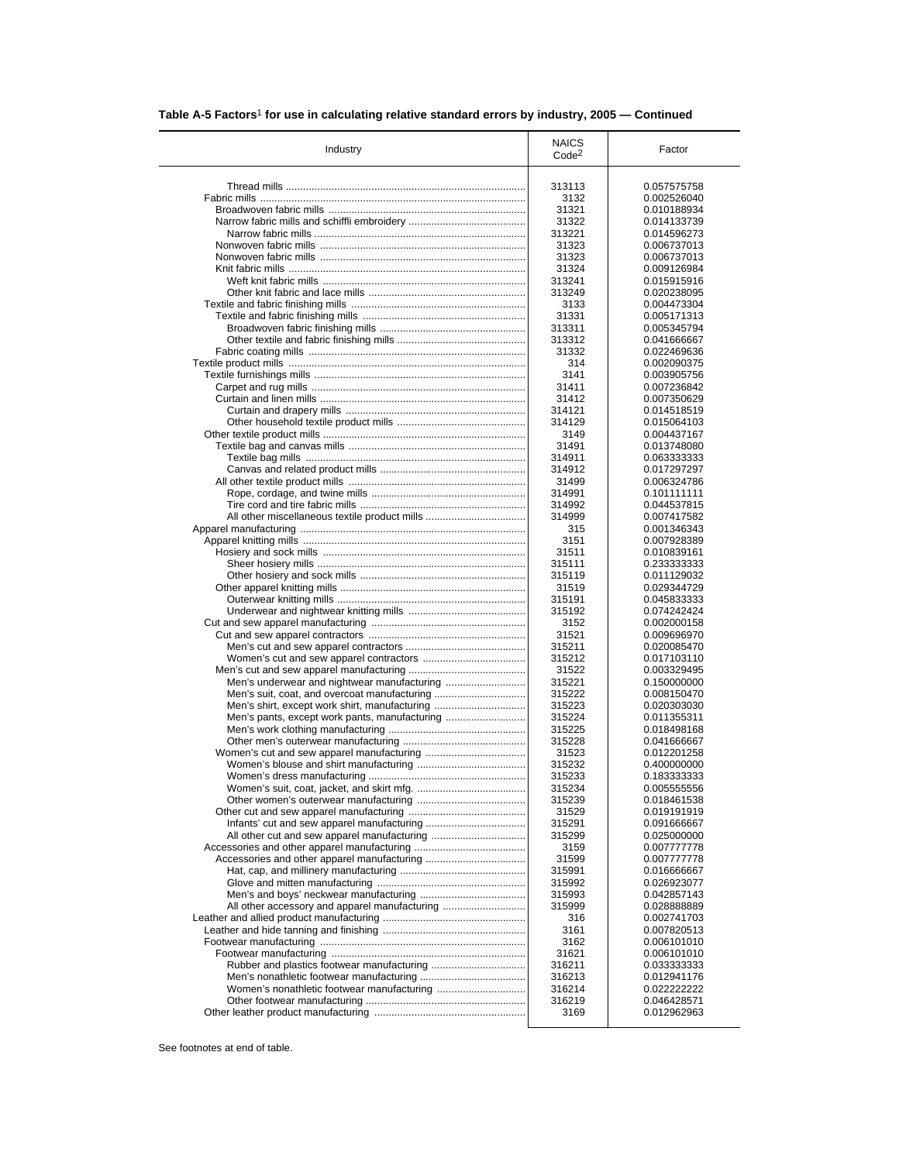| Table A-5 Factors <sup>1</sup> for use in calculating relative standard errors by industry, 2005 – Continued |  |
|--------------------------------------------------------------------------------------------------------------|--|
|                                                                                                              |  |

| Industry                                      | <b>NAICS</b>      | Factor      |
|-----------------------------------------------|-------------------|-------------|
|                                               | Code <sup>2</sup> |             |
|                                               | 313113            | 0.057575758 |
|                                               | 3132              | 0.002526040 |
|                                               | 31321             | 0.010188934 |
|                                               | 31322             | 0.014133739 |
|                                               | 313221            | 0.014596273 |
|                                               | 31323             | 0.006737013 |
|                                               | 31323             | 0.006737013 |
|                                               | 31324             | 0.009126984 |
|                                               | 313241            | 0.015915916 |
|                                               | 313249            | 0.020238095 |
|                                               | 3133              | 0.004473304 |
|                                               | 31331             | 0.005171313 |
|                                               | 313311            | 0.005345794 |
|                                               | 313312            | 0.041666667 |
|                                               | 31332             |             |
|                                               |                   | 0.022469636 |
|                                               | 314               | 0.002090375 |
|                                               | 3141              | 0.003905756 |
|                                               | 31411             | 0.007236842 |
|                                               | 31412             | 0.007350629 |
|                                               | 314121            | 0.014518519 |
|                                               | 314129            | 0.015064103 |
|                                               | 3149              | 0.004437167 |
|                                               | 31491             | 0.013748080 |
|                                               | 314911            | 0.063333333 |
|                                               | 314912            | 0.017297297 |
|                                               | 31499             | 0.006324786 |
|                                               | 314991            | 0.101111111 |
|                                               | 314992            | 0.044537815 |
|                                               | 314999            | 0.007417582 |
|                                               | 315               | 0.001346343 |
|                                               | 3151              | 0.007928389 |
|                                               | 31511             | 0.010839161 |
|                                               | 315111            | 0.233333333 |
|                                               | 315119            | 0.011129032 |
|                                               | 31519             | 0.029344729 |
|                                               | 315191            | 0.045833333 |
|                                               | 315192            | 0.074242424 |
|                                               | 3152              | 0.002000158 |
|                                               | 31521             | 0.009696970 |
|                                               | 315211            | 0.020085470 |
|                                               | 315212            | 0.017103110 |
|                                               | 31522             | 0.003329495 |
| Men's underwear and nightwear manufacturing   | 315221            | 0.150000000 |
|                                               | 315222            | 0.008150470 |
| Men's shirt, except work shirt, manufacturing | 315223            | 0.020303030 |
| Men's pants, except work pants, manufacturing | 315224            | 0.011355311 |
|                                               | 315225            | 0.018498168 |
|                                               | 315228            | 0.041666667 |
|                                               | 31523             | 0.012201258 |
|                                               | 315232            | 0.400000000 |
|                                               | 315233            | 0.183333333 |
|                                               | 315234            |             |
|                                               |                   | 0.005555556 |
|                                               | 315239            | 0.018461538 |
|                                               | 31529             | 0.019191919 |
|                                               | 315291            | 0.091666667 |
|                                               | 315299            | 0.025000000 |
|                                               | 3159              | 0.007777778 |
|                                               | 31599             | 0.007777778 |
|                                               | 315991            | 0.016666667 |
|                                               | 315992            | 0.026923077 |
|                                               | 315993            | 0.042857143 |
| All other accessory and apparel manufacturing | 315999            | 0.028888889 |
|                                               | 316               | 0.002741703 |
|                                               | 3161              | 0.007820513 |
|                                               | 3162              | 0.006101010 |
|                                               | 31621             | 0.006101010 |
|                                               | 316211            | 0.033333333 |
|                                               | 316213            | 0.012941176 |
|                                               | 316214            | 0.022222222 |
|                                               | 316219            | 0.046428571 |
|                                               | 3169              | 0.012962963 |
|                                               |                   |             |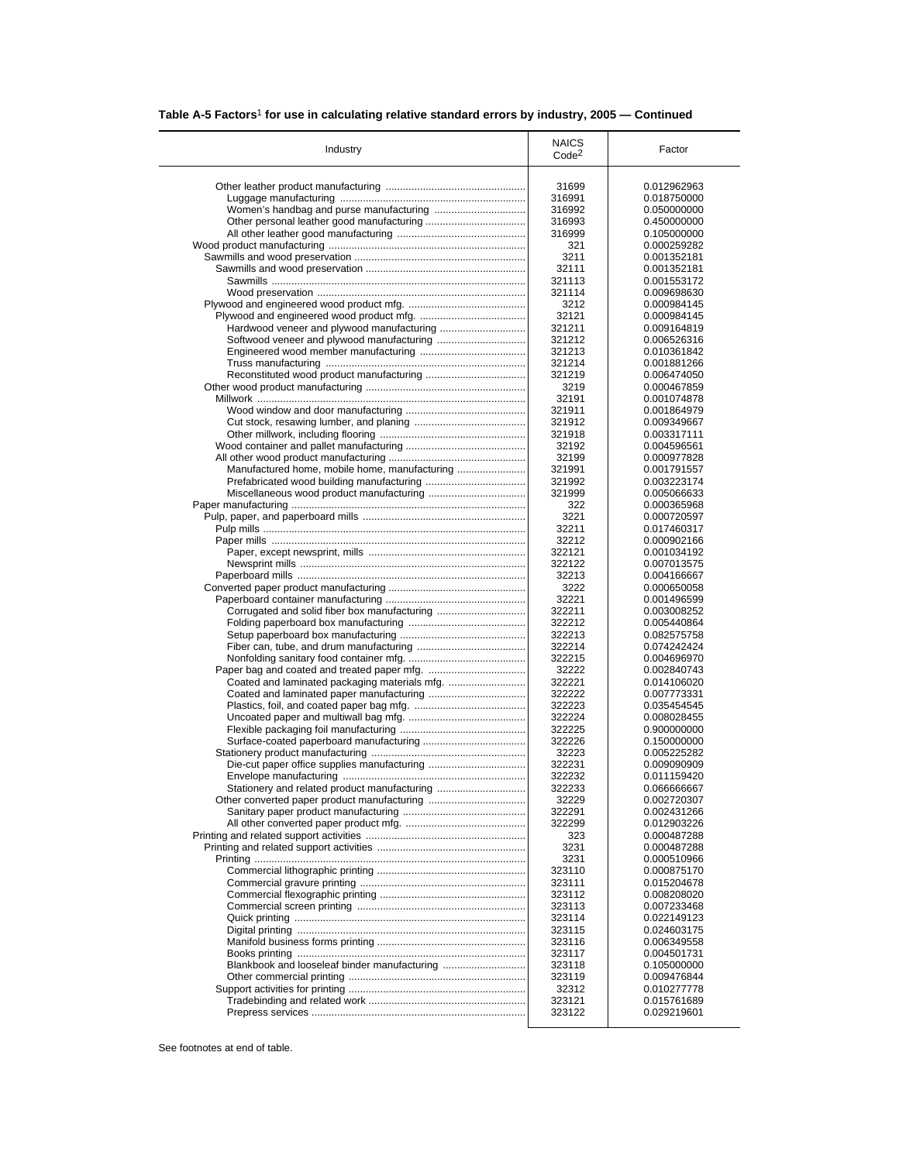|  |  |  |  | Table A-5 Factors <sup>1</sup> for use in calculating relative standard errors by industry, 2005 - Continued |
|--|--|--|--|--------------------------------------------------------------------------------------------------------------|
|--|--|--|--|--------------------------------------------------------------------------------------------------------------|

| Industry                                      | <b>NAICS</b><br>Code <sup>2</sup> | Factor                     |
|-----------------------------------------------|-----------------------------------|----------------------------|
|                                               | 31699                             | 0.012962963                |
|                                               | 316991                            | 0.018750000                |
| Women's handbag and purse manufacturing       | 316992                            | 0.050000000                |
|                                               | 316993                            | 0.450000000                |
|                                               | 316999                            | 0.105000000                |
|                                               | 321                               | 0.000259282                |
|                                               | 3211                              | 0.001352181                |
|                                               | 32111                             | 0.001352181                |
|                                               | 321113                            | 0.001553172                |
|                                               | 321114                            | 0.009698630                |
|                                               | 3212                              | 0.000984145                |
|                                               | 32121                             | 0.000984145                |
|                                               | 321211                            | 0.009164819                |
| Softwood veneer and plywood manufacturing     | 321212                            | 0.006526316                |
|                                               | 321213                            | 0.010361842                |
|                                               | 321214                            | 0.001881266                |
|                                               | 321219                            | 0.006474050                |
|                                               | 3219                              | 0.000467859                |
|                                               | 32191                             | 0.001074878                |
|                                               | 321911<br>321912                  | 0.001864979<br>0.009349667 |
|                                               | 321918                            | 0.003317111                |
|                                               | 32192                             | 0.004596561                |
|                                               | 32199                             | 0.000977828                |
| Manufactured home, mobile home, manufacturing | 321991                            | 0.001791557                |
|                                               | 321992                            | 0.003223174                |
|                                               | 321999                            | 0.005066633                |
|                                               | 322                               | 0.000365968                |
|                                               | 3221                              | 0.000720597                |
|                                               | 32211                             | 0.017460317                |
|                                               | 32212                             | 0.000902166                |
|                                               | 322121                            | 0.001034192                |
|                                               | 322122                            | 0.007013575                |
|                                               | 32213                             | 0.004166667                |
|                                               | 3222                              | 0.000650058                |
|                                               | 32221                             | 0.001496599                |
|                                               | 322211                            | 0.003008252                |
|                                               | 322212                            | 0.005440864                |
|                                               | 322213                            | 0.082575758                |
|                                               | 322214                            | 0.074242424                |
|                                               | 322215<br>32222                   | 0.004696970                |
|                                               | 322221                            | 0.002840743<br>0.014106020 |
|                                               | 322222                            | 0.007773331                |
|                                               | 322223                            | 0.035454545                |
|                                               | 322224                            | 0.008028455                |
|                                               | 322225                            | 0.900000000                |
|                                               | 322226                            | 0.150000000                |
|                                               | 32223                             | 0.005225282                |
|                                               | 322231                            | 0.009090909                |
|                                               | 322232                            | 0.011159420                |
| Stationery and related product manufacturing  | 322233                            | 0.066666667                |
|                                               | 32229                             | 0.002720307                |
|                                               | 322291                            | 0.002431266                |
|                                               | 322299                            | 0.012903226                |
|                                               | 323                               | 0.000487288                |
|                                               | 3231                              | 0.000487288                |
|                                               | 3231                              | 0.000510966                |
|                                               | 323110                            | 0.000875170                |
|                                               | 323111                            | 0.015204678                |
|                                               | 323112                            | 0.008208020                |
|                                               | 323113                            | 0.007233468                |
|                                               | 323114                            | 0.022149123                |
|                                               | 323115<br>323116                  | 0.024603175<br>0.006349558 |
|                                               | 323117                            | 0.004501731                |
|                                               | 323118                            | 0.105000000                |
|                                               | 323119                            | 0.009476844                |
|                                               | 32312                             | 0.010277778                |
|                                               |                                   |                            |
|                                               | 323121                            | 0.015761689                |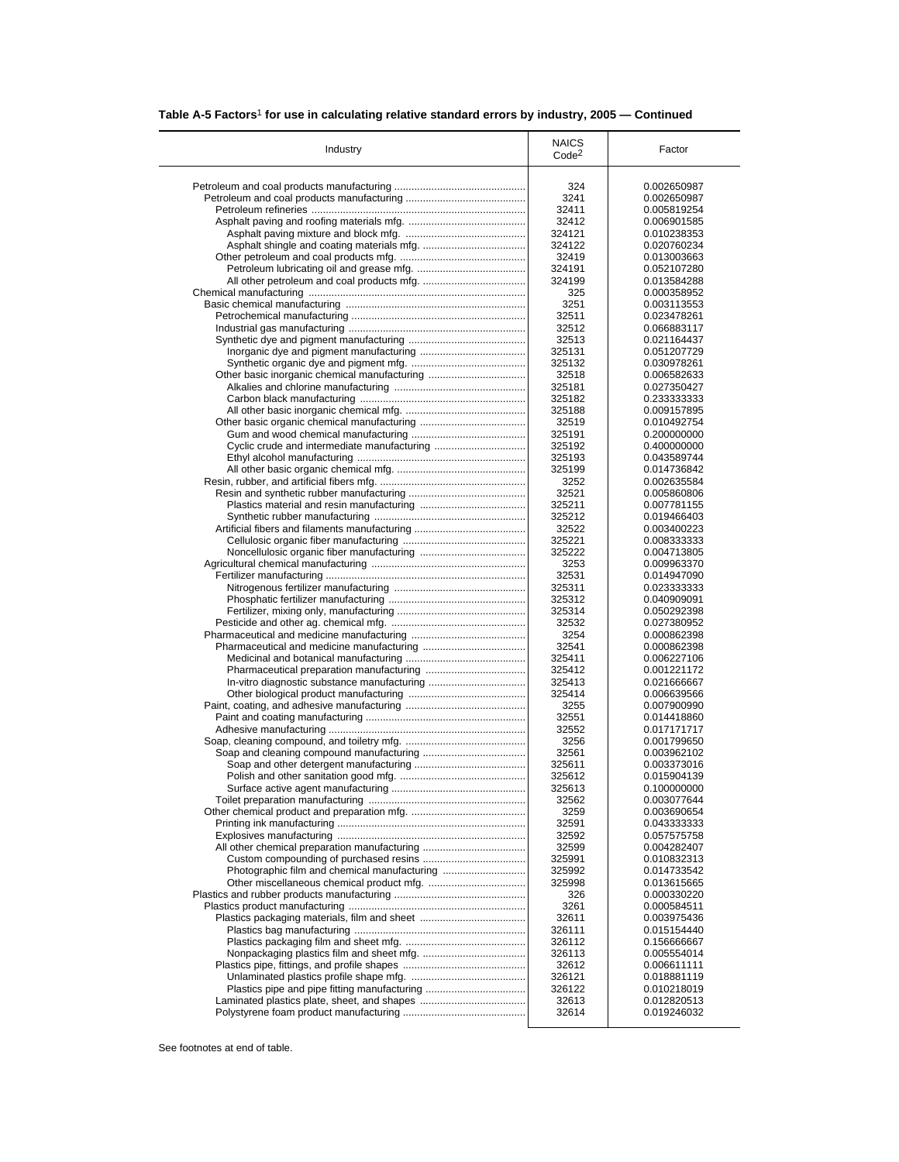|  |  |  |  | Table A-5 Factors <sup>1</sup> for use in calculating relative standard errors by industry, 2005 - Continued |
|--|--|--|--|--------------------------------------------------------------------------------------------------------------|
|--|--|--|--|--------------------------------------------------------------------------------------------------------------|

| Industry                                     | <b>NAICS</b><br>Code <sup>2</sup> | Factor                     |
|----------------------------------------------|-----------------------------------|----------------------------|
|                                              | 324                               | 0.002650987                |
|                                              | 3241                              | 0.002650987                |
|                                              | 32411                             | 0.005819254                |
|                                              | 32412                             | 0.006901585                |
|                                              | 324121                            | 0.010238353                |
|                                              | 324122                            | 0.020760234                |
|                                              | 32419                             | 0.013003663                |
|                                              | 324191                            | 0.052107280                |
|                                              | 324199                            | 0.013584288                |
|                                              | 325                               | 0.000358952                |
|                                              | 3251                              | 0.003113553                |
|                                              | 32511                             | 0.023478261                |
|                                              | 32512                             | 0.066883117                |
|                                              | 32513                             | 0.021164437                |
|                                              | 325131                            | 0.051207729                |
|                                              | 325132                            | 0.030978261                |
| Other basic inorganic chemical manufacturing | 32518<br>325181                   | 0.006582633                |
|                                              | 325182                            | 0.027350427                |
|                                              | 325188                            | 0.233333333<br>0.009157895 |
|                                              | 32519                             | 0.010492754                |
|                                              | 325191                            | 0.200000000                |
|                                              | 325192                            | 0.400000000                |
|                                              | 325193                            | 0.043589744                |
|                                              | 325199                            | 0.014736842                |
|                                              | 3252                              | 0.002635584                |
|                                              | 32521                             | 0.005860806                |
|                                              | 325211                            | 0.007781155                |
|                                              | 325212                            | 0.019466403                |
|                                              | 32522                             | 0.003400223                |
|                                              | 325221                            | 0.008333333                |
|                                              | 325222                            | 0.004713805                |
|                                              | 3253                              | 0.009963370                |
|                                              | 32531                             | 0.014947090                |
|                                              | 325311                            | 0.023333333                |
|                                              | 325312                            | 0.040909091                |
|                                              | 325314                            | 0.050292398                |
|                                              | 32532                             | 0.027380952                |
|                                              | 3254<br>32541                     | 0.000862398                |
|                                              | 325411                            | 0.000862398<br>0.006227106 |
|                                              | 325412                            | 0.001221172                |
|                                              | 325413                            | 0.021666667                |
|                                              | 325414                            | 0.006639566                |
|                                              | 3255                              | 0.007900990                |
|                                              | 32551                             | 0.014418860                |
|                                              | 32552                             | 0.017171717                |
|                                              | 3256                              | 0.001799650                |
|                                              | 32561                             | 0.003962102                |
|                                              | 325611                            | 0.003373016                |
|                                              | 325612                            | 0.015904139                |
|                                              | 325613                            | 0.100000000                |
|                                              | 32562                             | 0.003077644                |
|                                              | 3259                              | 0.003690654                |
|                                              | 32591                             | 0.043333333                |
|                                              | 32592                             | 0.057575758                |
|                                              | 32599                             | 0.004282407                |
|                                              | 325991                            | 0.010832313                |
|                                              | 325992                            | 0.014733542                |
|                                              | 325998                            | 0.013615665                |
|                                              | 326                               | 0.000330220                |
|                                              | 3261                              | 0.000584511                |
|                                              | 32611                             | 0.003975436                |
|                                              | 326111                            | 0.015154440                |
|                                              | 326112                            | 0.156666667                |
|                                              | 326113<br>32612                   | 0.005554014<br>0.006611111 |
|                                              | 326121                            |                            |
|                                              | 326122                            | 0.018881119<br>0.010218019 |
|                                              | 32613                             | 0.012820513                |
|                                              |                                   |                            |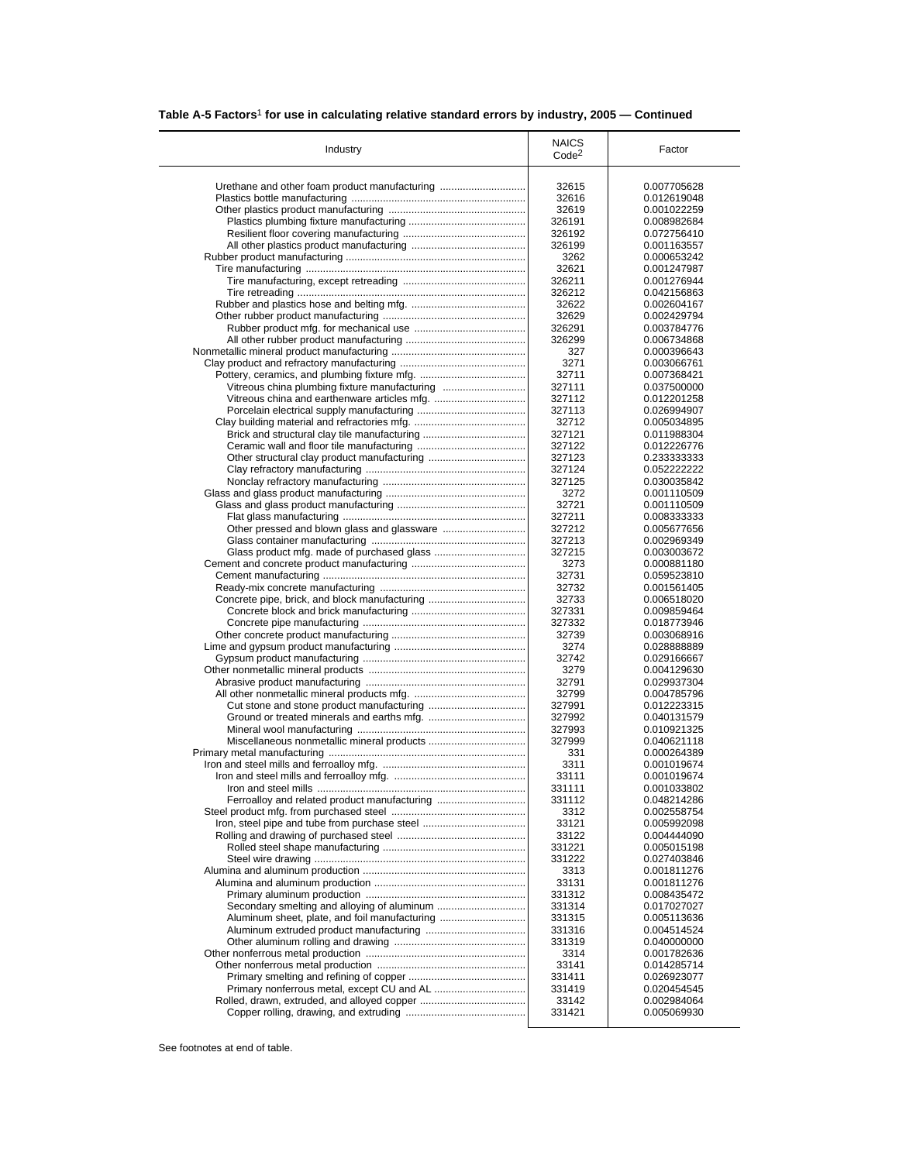|  | Table A-5 Factors <sup>1</sup> for use in calculating relative standard errors by industry, 2005 – Continued |  |
|--|--------------------------------------------------------------------------------------------------------------|--|
|  |                                                                                                              |  |

| Urethane and other foam product manufacturing<br>Vitreous china plumbing fixture manufacturing<br>Concrete pipe, brick, and block manufacturing | 32615<br>32616<br>32619 | 0.007705628<br>0.012619048 |
|-------------------------------------------------------------------------------------------------------------------------------------------------|-------------------------|----------------------------|
|                                                                                                                                                 |                         |                            |
|                                                                                                                                                 |                         |                            |
|                                                                                                                                                 |                         | 0.001022259                |
|                                                                                                                                                 | 326191                  | 0.008982684                |
|                                                                                                                                                 | 326192                  | 0.072756410                |
|                                                                                                                                                 | 326199                  | 0.001163557                |
|                                                                                                                                                 | 3262                    | 0.000653242                |
|                                                                                                                                                 | 32621                   | 0.001247987                |
|                                                                                                                                                 | 326211                  | 0.001276944                |
|                                                                                                                                                 | 326212                  | 0.042156863                |
|                                                                                                                                                 | 32622                   | 0.002604167                |
|                                                                                                                                                 | 32629                   | 0.002429794                |
|                                                                                                                                                 | 326291                  | 0.003784776                |
|                                                                                                                                                 | 326299                  | 0.006734868                |
|                                                                                                                                                 | 327                     | 0.000396643                |
|                                                                                                                                                 | 3271                    | 0.003066761                |
|                                                                                                                                                 | 32711                   | 0.007368421                |
|                                                                                                                                                 | 327111                  | 0.037500000                |
|                                                                                                                                                 | 327112                  | 0.012201258                |
|                                                                                                                                                 | 327113                  | 0.026994907                |
|                                                                                                                                                 | 32712                   | 0.005034895                |
|                                                                                                                                                 | 327121                  | 0.011988304                |
|                                                                                                                                                 | 327122                  | 0.012226776                |
|                                                                                                                                                 | 327123                  | 0.233333333                |
|                                                                                                                                                 | 327124                  | 0.052222222                |
|                                                                                                                                                 | 327125                  | 0.030035842                |
|                                                                                                                                                 | 3272                    | 0.001110509                |
|                                                                                                                                                 | 32721                   | 0.001110509                |
|                                                                                                                                                 | 327211                  | 0.008333333<br>0.005677656 |
|                                                                                                                                                 | 327212<br>327213        |                            |
|                                                                                                                                                 | 327215                  | 0.002969349<br>0.003003672 |
|                                                                                                                                                 | 3273                    | 0.000881180                |
|                                                                                                                                                 | 32731                   | 0.059523810                |
|                                                                                                                                                 | 32732                   | 0.001561405                |
|                                                                                                                                                 | 32733                   | 0.006518020                |
|                                                                                                                                                 | 327331                  | 0.009859464                |
|                                                                                                                                                 | 327332                  | 0.018773946                |
|                                                                                                                                                 | 32739                   | 0.003068916                |
|                                                                                                                                                 | 3274                    | 0.028888889                |
|                                                                                                                                                 | 32742                   | 0.029166667                |
|                                                                                                                                                 | 3279                    | 0.004129630                |
|                                                                                                                                                 | 32791                   | 0.029937304                |
|                                                                                                                                                 | 32799                   | 0.004785796                |
|                                                                                                                                                 | 327991                  | 0.012223315                |
|                                                                                                                                                 | 327992                  | 0.040131579                |
|                                                                                                                                                 | 327993                  | 0.010921325                |
|                                                                                                                                                 | 327999                  | 0.040621118                |
|                                                                                                                                                 | 331                     | 0.000264389                |
|                                                                                                                                                 | 3311                    | 0.001019674                |
|                                                                                                                                                 | 33111                   | 0.001019674                |
|                                                                                                                                                 | 331111                  | 0.001033802                |
| Ferroalloy and related product manufacturing                                                                                                    | 331112                  | 0.048214286                |
|                                                                                                                                                 | 3312                    | 0.002558754                |
|                                                                                                                                                 | 33121                   | 0.005992098                |
|                                                                                                                                                 | 33122                   | 0.004444090                |
|                                                                                                                                                 | 331221                  | 0.005015198                |
|                                                                                                                                                 | 331222                  | 0.027403846                |
|                                                                                                                                                 | 3313                    | 0.001811276                |
|                                                                                                                                                 | 33131                   | 0.001811276                |
|                                                                                                                                                 | 331312                  | 0.008435472                |
|                                                                                                                                                 | 331314<br>331315        | 0.017027027<br>0.005113636 |
| Aluminum sheet, plate, and foil manufacturing                                                                                                   |                         |                            |
|                                                                                                                                                 | 331316                  | 0.004514524                |
|                                                                                                                                                 | 331319<br>3314          | 0.040000000<br>0.001782636 |
|                                                                                                                                                 | 33141                   | 0.014285714                |
|                                                                                                                                                 | 331411                  | 0.026923077                |
|                                                                                                                                                 | 331419                  | 0.020454545                |
|                                                                                                                                                 | 33142                   | 0.002984064                |
|                                                                                                                                                 | 331421                  | 0.005069930                |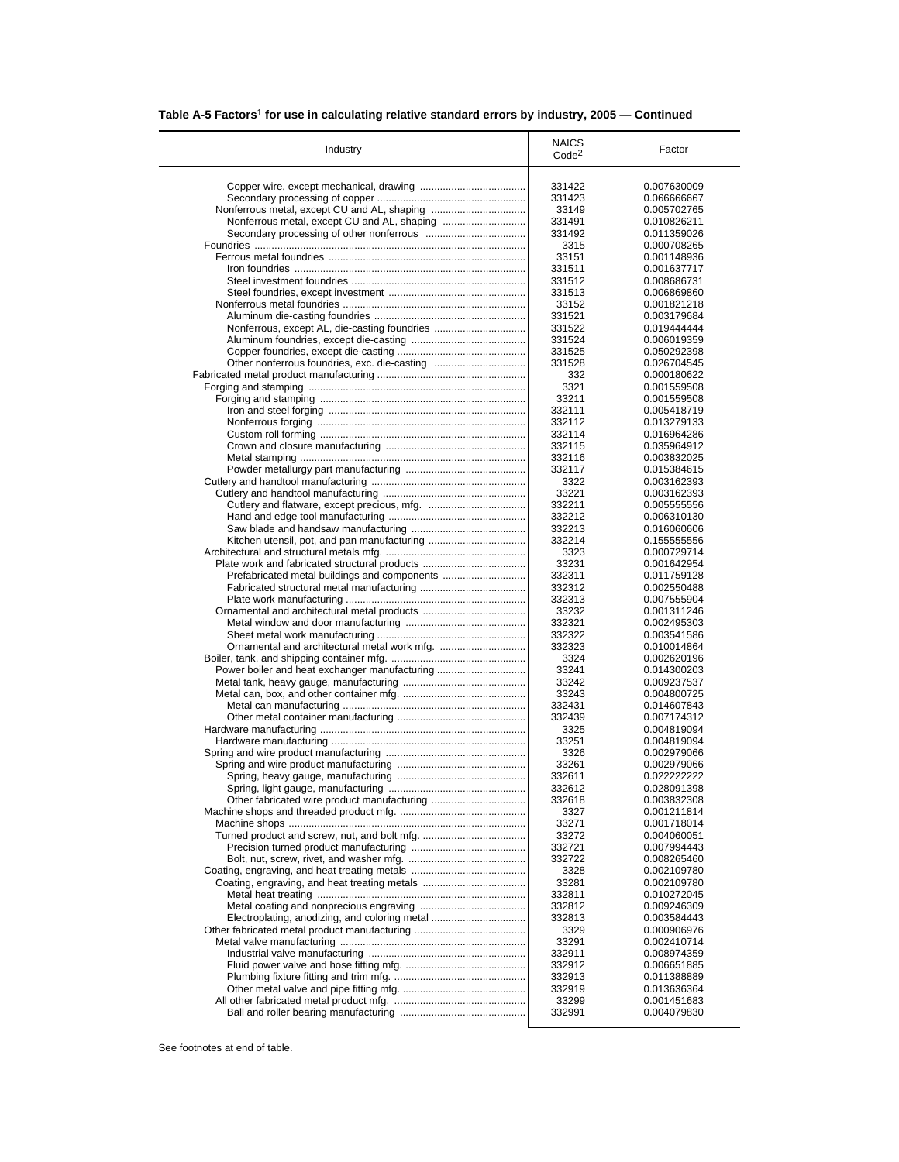|  | Table A-5 Factors <sup>1</sup> for use in calculating relative standard errors by industry, 2005 – Continued |  |
|--|--------------------------------------------------------------------------------------------------------------|--|
|  |                                                                                                              |  |

| Industry                                      | <b>NAICS</b>      | Factor                     |
|-----------------------------------------------|-------------------|----------------------------|
|                                               | Code <sup>2</sup> |                            |
|                                               |                   |                            |
|                                               | 331422            | 0.007630009                |
|                                               | 331423            | 0.066666667                |
|                                               | 33149             | 0.005702765                |
|                                               | 331491            | 0.010826211                |
|                                               | 331492            | 0.011359026                |
|                                               | 3315<br>33151     | 0.000708265<br>0.001148936 |
|                                               | 331511            | 0.001637717                |
|                                               | 331512            | 0.008686731                |
|                                               | 331513            | 0.006869860                |
|                                               | 33152             | 0.001821218                |
|                                               | 331521            | 0.003179684                |
|                                               | 331522            | 0.019444444                |
|                                               | 331524            | 0.006019359                |
|                                               | 331525            | 0.050292398                |
|                                               | 331528            | 0.026704545                |
|                                               | 332               | 0.000180622                |
|                                               | 3321              | 0.001559508                |
|                                               | 33211             | 0.001559508                |
|                                               | 332111            | 0.005418719                |
|                                               | 332112            | 0.013279133                |
|                                               | 332114            | 0.016964286                |
|                                               | 332115            | 0.035964912                |
|                                               | 332116            | 0.003832025                |
|                                               | 332117            | 0.015384615                |
|                                               | 3322              | 0.003162393                |
|                                               | 33221             | 0.003162393                |
|                                               | 332211<br>332212  | 0.005555556<br>0.006310130 |
|                                               | 332213            | 0.016060606                |
|                                               | 332214            | 0.155555556                |
|                                               | 3323              | 0.000729714                |
| Plate work and fabricated structural products | 33231             | 0.001642954                |
|                                               | 332311            | 0.011759128                |
|                                               | 332312            | 0.002550488                |
|                                               | 332313            | 0.007555904                |
|                                               | 33232             | 0.001311246                |
|                                               | 332321            | 0.002495303                |
|                                               | 332322            | 0.003541586                |
|                                               | 332323            | 0.010014864                |
|                                               | 3324              | 0.002620196                |
| Power boiler and heat exchanger manufacturing | 33241             | 0.014300203                |
|                                               | 33242             | 0.009237537                |
|                                               | 33243             | 0.004800725                |
|                                               | 332431            | 0.014607843                |
|                                               | 332439            | 0.007174312                |
|                                               | 3325              | 0.004819094                |
|                                               | 33251             | 0.004819094                |
|                                               | 3326<br>33261     | 0.002979066                |
|                                               | 332611            | 0.002979066                |
|                                               | 332612            | 0.022222222<br>0.028091398 |
|                                               | 332618            | 0.003832308                |
|                                               | 3327              | 0.001211814                |
|                                               | 33271             | 0.001718014                |
|                                               | 33272             | 0.004060051                |
|                                               | 332721            | 0.007994443                |
|                                               | 332722            | 0.008265460                |
|                                               | 3328              | 0.002109780                |
|                                               | 33281             | 0.002109780                |
|                                               | 332811            | 0.010272045                |
|                                               | 332812            | 0.009246309                |
|                                               | 332813            | 0.003584443                |
| Electroplating, anodizing, and coloring metal |                   | 0.000906976                |
|                                               | 3329              |                            |
|                                               | 33291             | 0.002410714                |
|                                               | 332911            | 0.008974359                |
|                                               | 332912            | 0.006651885                |
|                                               | 332913            | 0.011388889                |
|                                               | 332919<br>33299   | 0.013636364<br>0.001451683 |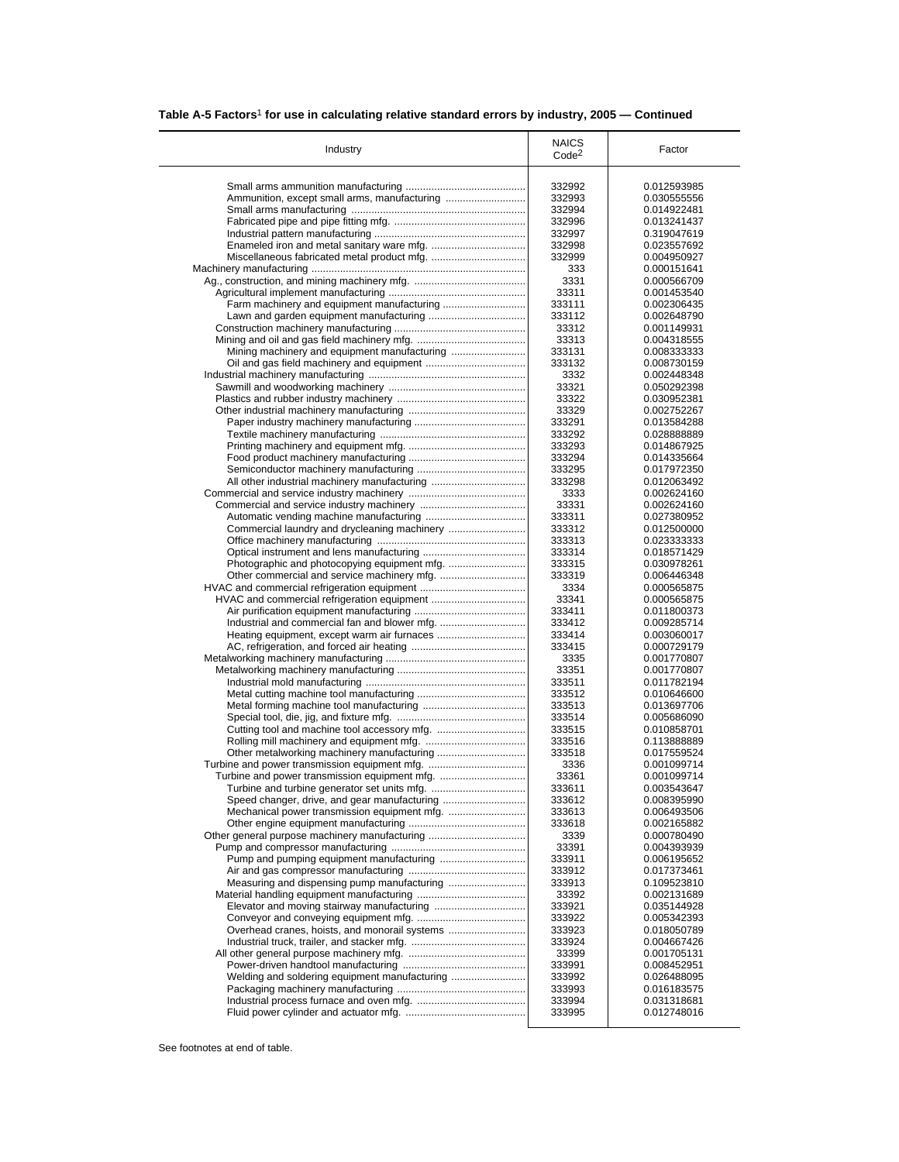| Table A-5 Factors <sup>1</sup> for use in calculating relative standard errors by industry, 2005 - Continued |
|--------------------------------------------------------------------------------------------------------------|
|--------------------------------------------------------------------------------------------------------------|

| Industry                                      | <b>NAICS</b>      | Factor                     |
|-----------------------------------------------|-------------------|----------------------------|
|                                               | Code <sup>2</sup> |                            |
|                                               | 332992            | 0.012593985                |
|                                               | 332993            | 0.030555556                |
|                                               | 332994            | 0.014922481                |
|                                               | 332996            | 0.013241437                |
|                                               | 332997            | 0.319047619                |
|                                               | 332998            | 0.023557692                |
|                                               | 332999            | 0.004950927                |
|                                               | 333               | 0.000151641                |
|                                               | 3331              | 0.000566709                |
|                                               | 33311             | 0.001453540                |
|                                               | 333111            | 0.002306435                |
|                                               | 333112            | 0.002648790                |
|                                               | 33312             | 0.001149931                |
|                                               | 33313             | 0.004318555                |
|                                               | 333131<br>333132  | 0.008333333<br>0.008730159 |
|                                               | 3332              | 0.002448348                |
|                                               | 33321             | 0.050292398                |
|                                               | 33322             | 0.030952381                |
|                                               | 33329             | 0.002752267                |
|                                               | 333291            | 0.013584288                |
|                                               | 333292            | 0.028888889                |
|                                               | 333293            | 0.014867925                |
|                                               | 333294            | 0.014335664                |
|                                               | 333295            | 0.017972350                |
|                                               | 333298            | 0.012063492                |
|                                               | 3333              | 0.002624160                |
|                                               | 33331             | 0.002624160                |
|                                               | 333311            | 0.027380952                |
|                                               | 333312            | 0.012500000                |
|                                               | 333313            | 0.023333333                |
|                                               | 333314            | 0.018571429                |
|                                               | 333315            | 0.030978261                |
|                                               | 333319            | 0.006446348                |
|                                               | 3334              | 0.000565875                |
|                                               | 33341<br>333411   | 0.000565875<br>0.011800373 |
|                                               | 333412            | 0.009285714                |
|                                               | 333414            | 0.003060017                |
|                                               | 333415            | 0.000729179                |
|                                               | 3335              | 0.001770807                |
|                                               | 33351             | 0.001770807                |
|                                               | 333511            | 0.011782194                |
|                                               | 333512            | 0.010646600                |
|                                               | 333513            | 0.013697706                |
|                                               | 333514            | 0.005686090                |
|                                               | 333515            | 0.010858701                |
|                                               | 333516            | 0.113888889                |
|                                               | 333518            | 0.017559524                |
|                                               | 3336              | 0.001099714                |
|                                               | 33361             | 0.001099714                |
|                                               | 333611            | 0.003543647                |
|                                               | 333612            | 0.008395990                |
|                                               | 333613            | 0.006493506                |
|                                               | 333618            | 0.002165882                |
| Other general purpose machinery manufacturing | 3339<br>33391     | 0.000780490<br>0.004393939 |
|                                               | 333911            | 0.006195652                |
|                                               | 333912            | 0.017373461                |
|                                               | 333913            | 0.109523810                |
|                                               | 33392             | 0.002131689                |
|                                               | 333921            | 0.035144928                |
|                                               | 333922            | 0.005342393                |
| Overhead cranes, hoists, and monorail systems | 333923            | 0.018050789                |
|                                               | 333924            | 0.004667426                |
|                                               | 33399             | 0.001705131                |
|                                               | 333991            | 0.008452951                |
| Welding and soldering equipment manufacturing | 333992            | 0.026488095                |
|                                               |                   |                            |
|                                               | 333993            | 0.016183575                |
|                                               | 333994<br>333995  | 0.031318681                |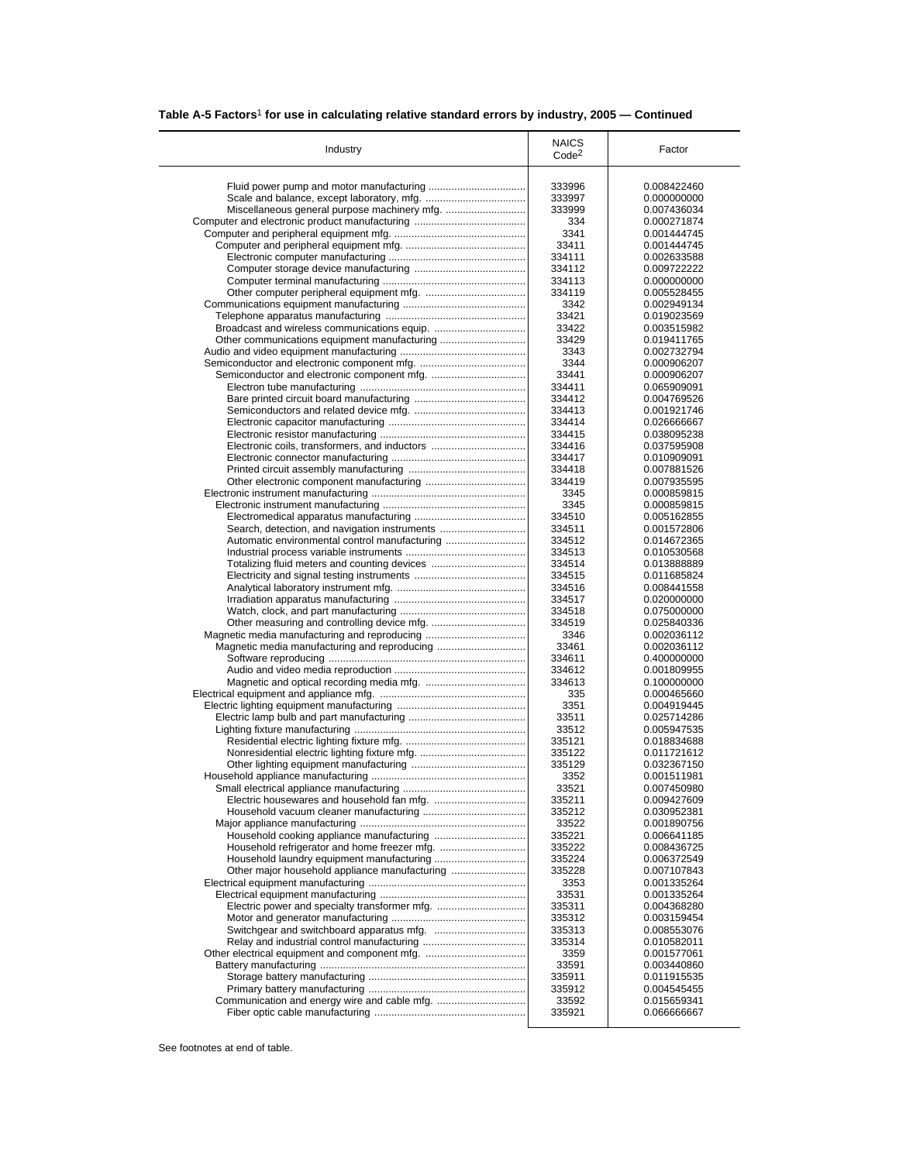| Table A-5 Factors <sup>1</sup> for use in calculating relative standard errors by industry, 2005 - Continued |
|--------------------------------------------------------------------------------------------------------------|
|--------------------------------------------------------------------------------------------------------------|

| Industry                                      | <b>NAICS</b>      | Factor                     |
|-----------------------------------------------|-------------------|----------------------------|
|                                               | Code <sup>2</sup> |                            |
|                                               | 333996            | 0.008422460                |
|                                               | 333997            | 0.000000000                |
|                                               | 333999            | 0.007436034                |
|                                               | 334               | 0.000271874                |
|                                               | 3341              | 0.001444745                |
|                                               | 33411             | 0.001444745                |
|                                               | 334111            | 0.002633588                |
|                                               | 334112            | 0.009722222                |
|                                               | 334113            | 0.000000000                |
|                                               | 334119            | 0.005528455                |
|                                               | 3342              | 0.002949134                |
|                                               | 33421             | 0.019023569                |
|                                               | 33422             | 0.003515982                |
|                                               | 33429             | 0.019411765                |
|                                               | 3343              | 0.002732794                |
|                                               | 3344<br>33441     | 0.000906207<br>0.000906207 |
|                                               | 334411            | 0.065909091                |
|                                               | 334412            | 0.004769526                |
|                                               | 334413            | 0.001921746                |
|                                               | 334414            | 0.026666667                |
|                                               | 334415            | 0.038095238                |
| Electronic coils, transformers, and inductors | 334416            | 0.037595908                |
|                                               | 334417            | 0.010909091                |
|                                               | 334418            | 0.007881526                |
|                                               | 334419            | 0.007935595                |
|                                               | 3345              | 0.000859815                |
|                                               | 3345              | 0.000859815                |
|                                               | 334510            | 0.005162855                |
| Search, detection, and navigation instruments | 334511            | 0.001572806                |
| Automatic environmental control manufacturing | 334512            | 0.014672365                |
|                                               | 334513            | 0.010530568                |
|                                               | 334514<br>334515  | 0.013888889<br>0.011685824 |
|                                               | 334516            | 0.008441558                |
|                                               | 334517            | 0.020000000                |
|                                               | 334518            | 0.075000000                |
|                                               | 334519            | 0.025840336                |
|                                               | 3346              | 0.002036112                |
|                                               | 33461             | 0.002036112                |
|                                               | 334611            | 0.400000000                |
|                                               | 334612            | 0.001809955                |
|                                               | 334613            | 0.100000000                |
|                                               | 335               | 0.000465660                |
|                                               | 3351              | 0.004919445                |
|                                               | 33511             | 0.025714286                |
|                                               | 33512             | 0.005947535                |
|                                               | 335121<br>335122  | 0.018834688                |
|                                               | 335129            | 0.011721612<br>0.032367150 |
|                                               | 3352              | 0.001511981                |
|                                               | 33521             | 0.007450980                |
|                                               | 335211            | 0.009427609                |
|                                               | 335212            | 0.030952381                |
|                                               | 33522             | 0.001890756                |
|                                               | 335221            | 0.006641185                |
|                                               | 335222            | 0.008436725                |
|                                               | 335224            | 0.006372549                |
| Other major household appliance manufacturing | 335228            | 0.007107843                |
|                                               | 3353              | 0.001335264                |
|                                               | 33531             | 0.001335264                |
|                                               | 335311            | 0.004368280                |
|                                               | 335312            | 0.003159454                |
|                                               | 335313            | 0.008553076                |
|                                               | 335314            | 0.010582011                |
|                                               | 3359              | 0.001577061                |
|                                               |                   |                            |
|                                               | 33591             | 0.003440860                |
|                                               | 335911            | 0.011915535                |
|                                               | 335912<br>33592   | 0.004545455<br>0.015659341 |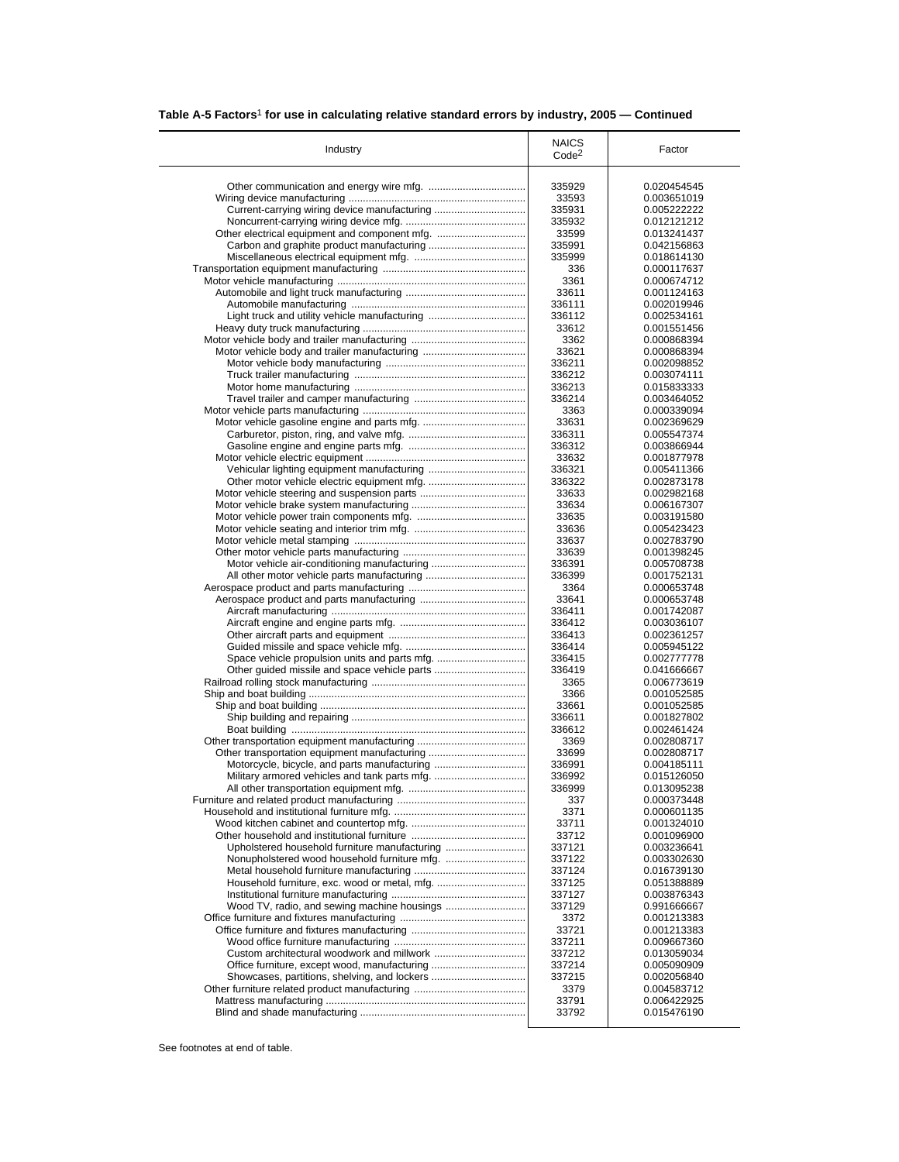|  |  |  |  | Table A-5 Factors <sup>1</sup> for use in calculating relative standard errors by industry, 2005 – Continued |
|--|--|--|--|--------------------------------------------------------------------------------------------------------------|
|--|--|--|--|--------------------------------------------------------------------------------------------------------------|

| Industry                                      | <b>NAICS</b><br>Code <sup>2</sup> | Factor                     |
|-----------------------------------------------|-----------------------------------|----------------------------|
|                                               |                                   |                            |
|                                               | 335929                            | 0.020454545                |
| Current-carrying wiring device manufacturing  | 33593<br>335931                   | 0.003651019<br>0.005222222 |
|                                               | 335932                            | 0.012121212                |
|                                               | 33599                             | 0.013241437                |
|                                               | 335991                            | 0.042156863                |
|                                               | 335999                            | 0.018614130                |
|                                               | 336                               | 0.000117637                |
|                                               | 3361                              | 0.000674712                |
|                                               | 33611                             | 0.001124163                |
|                                               | 336111                            | 0.002019946                |
| Light truck and utility vehicle manufacturing | 336112                            | 0.002534161                |
|                                               | 33612                             | 0.001551456                |
|                                               | 3362                              | 0.000868394                |
|                                               | 33621                             | 0.000868394                |
|                                               | 336211                            | 0.002098852                |
|                                               | 336212                            | 0.003074111                |
|                                               | 336213                            | 0.015833333                |
|                                               | 336214                            | 0.003464052                |
|                                               | 3363                              | 0.000339094                |
|                                               | 33631                             | 0.002369629                |
|                                               | 336311                            | 0.005547374                |
|                                               | 336312                            | 0.003866944                |
|                                               | 33632                             | 0.001877978                |
|                                               | 336321                            | 0.005411366                |
|                                               | 336322                            | 0.002873178                |
|                                               | 33633                             | 0.002982168                |
|                                               | 33634                             | 0.006167307                |
|                                               | 33635                             | 0.003191580                |
|                                               | 33636                             | 0.005423423                |
|                                               | 33637                             | 0.002783790                |
|                                               | 33639                             | 0.001398245                |
|                                               | 336391                            | 0.005708738                |
|                                               | 336399                            | 0.001752131                |
|                                               | 3364                              | 0.000653748                |
|                                               | 33641                             | 0.000653748                |
|                                               | 336411<br>336412                  | 0.001742087<br>0.003036107 |
|                                               | 336413                            | 0.002361257                |
|                                               | 336414                            | 0.005945122                |
|                                               | 336415                            | 0.002777778                |
|                                               | 336419                            | 0.041666667                |
|                                               | 3365                              | 0.006773619                |
|                                               | 3366                              | 0.001052585                |
|                                               | 33661                             | 0.001052585                |
|                                               | 336611                            | 0.001827802                |
|                                               | 336612                            | 0.002461424                |
|                                               | 3369                              | 0.002808717                |
| Other transportation equipment manufacturing  | 33699                             | 0.002808717                |
|                                               | 336991                            | 0.004185111                |
|                                               | 336992                            | 0.015126050                |
|                                               | 336999                            | 0.013095238                |
|                                               | 337                               | 0.000373448                |
|                                               | 3371                              | 0.000601135                |
|                                               | 33711                             | 0.001324010                |
|                                               | 33712                             | 0.001096900                |
| Upholstered household furniture manufacturing | 337121                            | 0.003236641                |
|                                               | 337122                            | 0.003302630                |
|                                               | 337124                            | 0.016739130                |
|                                               | 337125                            | 0.051388889                |
|                                               | 337127                            | 0.003876343                |
|                                               | 337129                            | 0.991666667                |
|                                               | 3372                              | 0.001213383                |
|                                               | 33721                             | 0.001213383                |
|                                               | 337211                            | 0.009667360                |
|                                               | 337212                            | 0.013059034                |
|                                               | 337214                            | 0.005090909                |
|                                               | 337215                            | 0.002056840                |
| Showcases, partitions, shelving, and lockers  |                                   |                            |
|                                               | 3379                              | 0.004583712                |
|                                               | 33791                             | 0.006422925<br>0.015476190 |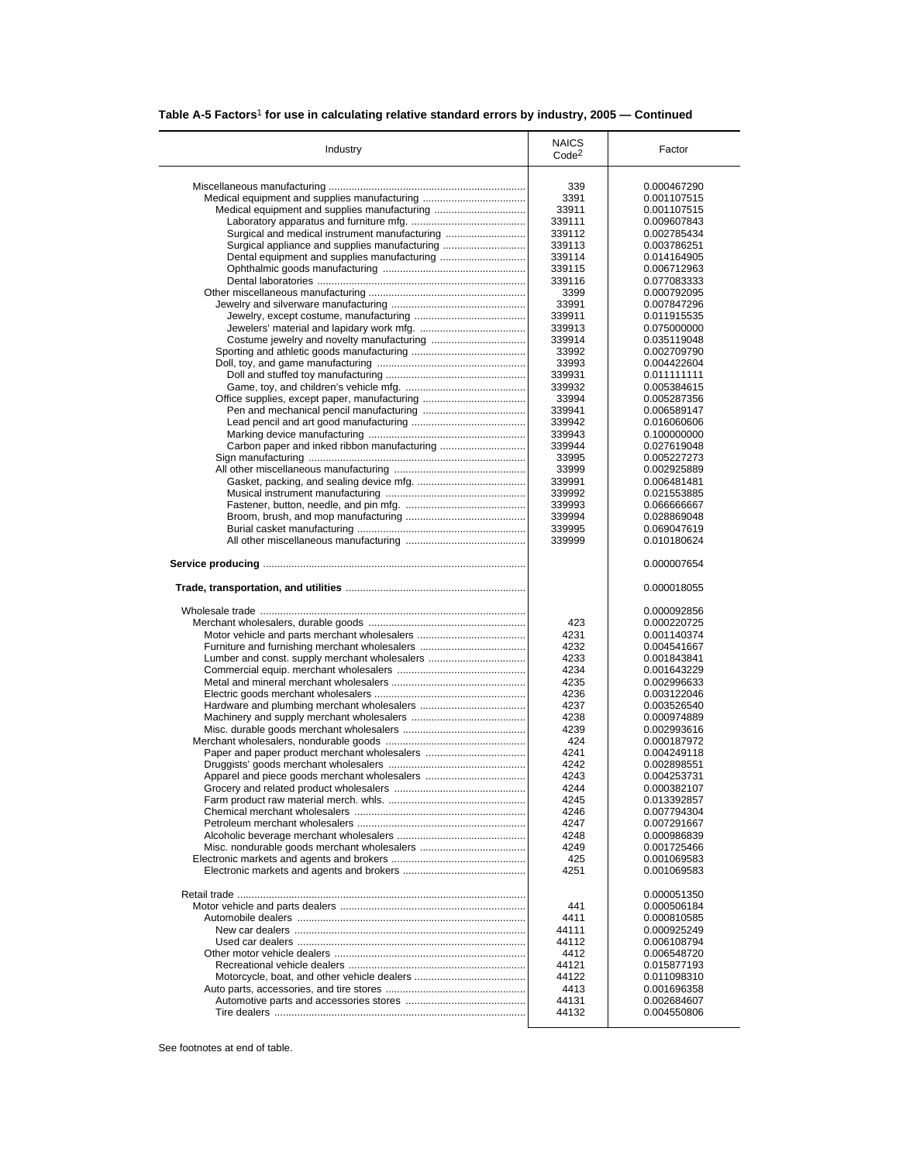| Table A-5 Factors <sup>1</sup> for use in calculating relative standard errors by industry, 2005 – Continued |
|--------------------------------------------------------------------------------------------------------------|
|--------------------------------------------------------------------------------------------------------------|

| Industry                                      | <b>NAICS</b><br>Code <sup>2</sup> | Factor      |
|-----------------------------------------------|-----------------------------------|-------------|
|                                               |                                   |             |
|                                               | 339                               | 0.000467290 |
|                                               | 3391                              | 0.001107515 |
|                                               | 33911                             | 0.001107515 |
|                                               | 339111                            | 0.009607843 |
| Surgical and medical instrument manufacturing | 339112                            | 0.002785434 |
|                                               |                                   |             |
| Surgical appliance and supplies manufacturing | 339113                            | 0.003786251 |
|                                               | 339114                            | 0.014164905 |
|                                               | 339115                            | 0.006712963 |
|                                               | 339116                            | 0.077083333 |
|                                               | 3399                              | 0.000792095 |
|                                               |                                   |             |
|                                               | 33991                             | 0.007847296 |
|                                               | 339911                            | 0.011915535 |
|                                               | 339913                            | 0.075000000 |
|                                               | 339914                            | 0.035119048 |
|                                               |                                   |             |
|                                               | 33992                             | 0.002709790 |
|                                               | 33993                             | 0.004422604 |
|                                               | 339931                            | 0.011111111 |
|                                               | 339932                            | 0.005384615 |
|                                               | 33994                             | 0.005287356 |
|                                               |                                   |             |
|                                               | 339941                            | 0.006589147 |
|                                               | 339942                            | 0.016060606 |
|                                               | 339943                            | 0.100000000 |
|                                               | 339944                            | 0.027619048 |
|                                               |                                   |             |
|                                               | 33995                             | 0.005227273 |
|                                               | 33999                             | 0.002925889 |
|                                               | 339991                            | 0.006481481 |
|                                               |                                   | 0.021553885 |
|                                               | 339992                            |             |
|                                               | 339993                            | 0.066666667 |
|                                               | 339994                            | 0.028869048 |
|                                               | 339995                            | 0.069047619 |
|                                               | 339999                            | 0.010180624 |
|                                               |                                   | 0.000007654 |
|                                               |                                   | 0.000018055 |
|                                               |                                   | 0.000092856 |
|                                               | 423                               | 0.000220725 |
|                                               | 4231                              | 0.001140374 |
|                                               | 4232                              | 0.004541667 |
|                                               |                                   |             |
| Lumber and const. supply merchant wholesalers | 4233                              | 0.001843841 |
|                                               | 4234                              | 0.001643229 |
|                                               | 4235                              | 0.002996633 |
|                                               | 4236                              | 0.003122046 |
|                                               | 4237                              | 0.003526540 |
|                                               |                                   |             |
|                                               | 4238                              | 0.000974889 |
|                                               | 4239                              | 0.002993616 |
|                                               | 424                               | 0.000187972 |
| Paper and paper product merchant wholesalers  | 4241                              | 0.004249118 |
|                                               | 4242                              | 0.002898551 |
|                                               |                                   |             |
|                                               | 4243                              | 0.004253731 |
|                                               | 4244                              | 0.000382107 |
|                                               | 4245                              | 0.013392857 |
|                                               | 4246                              | 0.007794304 |
|                                               |                                   |             |
|                                               | 4247                              | 0.007291667 |
|                                               | 4248                              | 0.000986839 |
|                                               | 4249                              | 0.001725466 |
|                                               | 425                               | 0.001069583 |
|                                               | 4251                              | 0.001069583 |
|                                               |                                   |             |
|                                               |                                   | 0.000051350 |
|                                               | 441                               | 0.000506184 |
|                                               |                                   |             |
|                                               | 4411                              | 0.000810585 |
|                                               | 44111                             | 0.000925249 |
|                                               | 44112                             | 0.006108794 |
|                                               | 4412                              | 0.006548720 |
|                                               | 44121                             | 0.015877193 |
|                                               |                                   |             |
|                                               | 44122                             | 0.011098310 |
|                                               | 4413                              | 0.001696358 |
|                                               | 44131                             | 0.002684607 |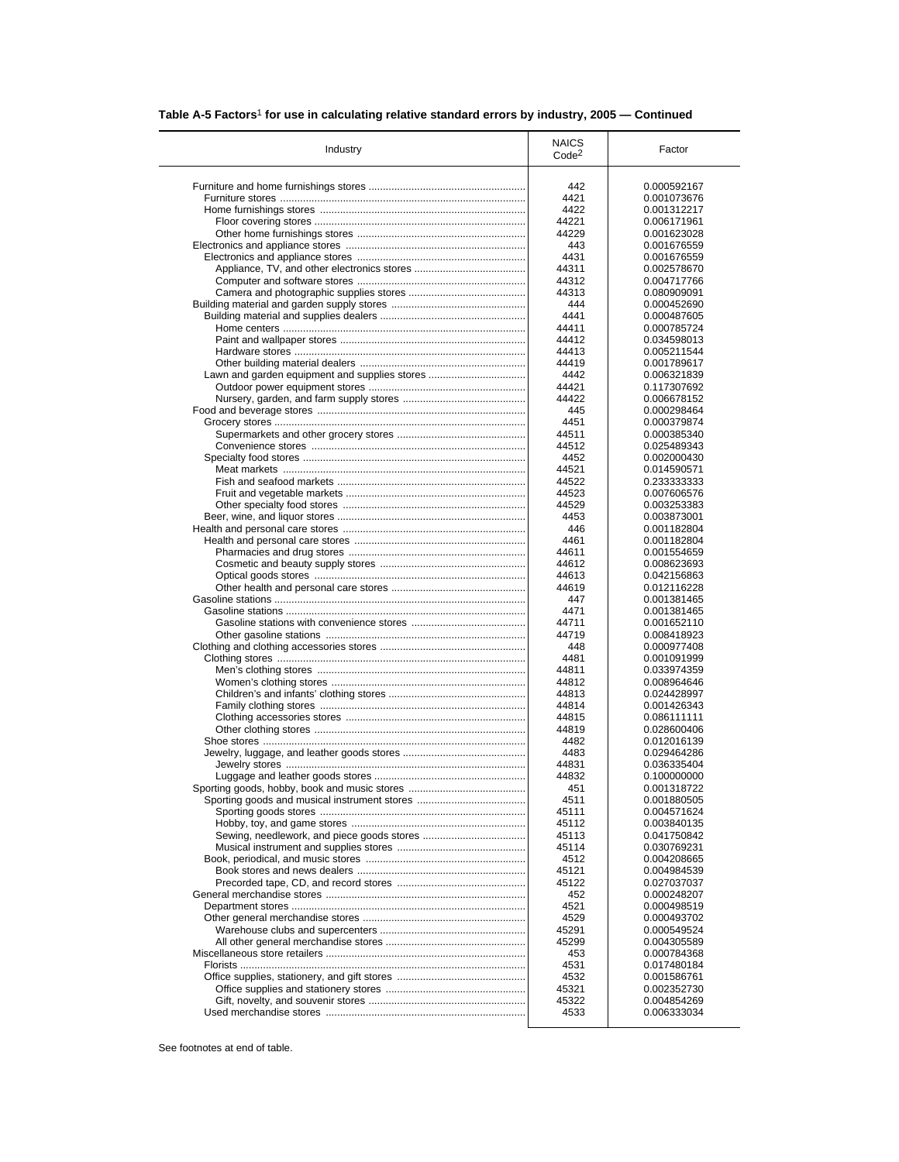| Industry                                      | <b>NAICS</b><br>Code <sup>2</sup> | Factor      |
|-----------------------------------------------|-----------------------------------|-------------|
|                                               | 442                               | 0.000592167 |
|                                               | 4421                              | 0.001073676 |
|                                               | 4422                              | 0.001312217 |
|                                               | 44221                             | 0.006171961 |
|                                               | 44229                             | 0.001623028 |
|                                               | 443                               | 0.001676559 |
|                                               | 4431                              | 0.001676559 |
|                                               | 44311                             | 0.002578670 |
|                                               | 44312                             | 0.004717766 |
|                                               | 44313                             | 0.080909091 |
|                                               | 444                               |             |
|                                               |                                   | 0.000452690 |
|                                               | 4441                              | 0.000487605 |
|                                               | 44411                             | 0.000785724 |
|                                               | 44412                             | 0.034598013 |
|                                               | 44413                             | 0.005211544 |
|                                               | 44419                             | 0.001789617 |
| Lawn and garden equipment and supplies stores | 4442                              | 0.006321839 |
|                                               | 44421                             | 0.117307692 |
|                                               | 44422                             | 0.006678152 |
|                                               | 445                               | 0.000298464 |
|                                               | 4451                              | 0.000379874 |
|                                               | 44511                             | 0.000385340 |
|                                               | 44512                             | 0.025489343 |
|                                               | 4452                              | 0.002000430 |
|                                               | 44521                             | 0.014590571 |
|                                               | 44522                             | 0.233333333 |
|                                               | 44523                             | 0.007606576 |
|                                               | 44529                             | 0.003253383 |
|                                               | 4453                              | 0.003873001 |
|                                               | 446                               | 0.001182804 |
|                                               | 4461                              | 0.001182804 |
|                                               | 44611                             | 0.001554659 |
|                                               | 44612                             | 0.008623693 |
|                                               | 44613                             | 0.042156863 |
|                                               | 44619                             | 0.012116228 |
|                                               |                                   |             |
|                                               | 447                               | 0.001381465 |
|                                               | 4471                              | 0.001381465 |
|                                               | 44711                             | 0.001652110 |
|                                               | 44719                             | 0.008418923 |
|                                               | 448                               | 0.000977408 |
|                                               | 4481                              | 0.001091999 |
|                                               | 44811                             | 0.033974359 |
|                                               | 44812                             | 0.008964646 |
|                                               | 44813                             | 0.024428997 |
|                                               | 44814                             | 0.001426343 |
|                                               | 44815                             | 0.086111111 |
|                                               | 44819                             | 0.028600406 |
|                                               | 4482                              | 0.012016139 |
|                                               | 4483                              | 0.029464286 |
|                                               | 44831                             | 0.036335404 |
|                                               | 44832                             | 0.100000000 |
|                                               | 451                               | 0.001318722 |
|                                               | 4511                              | 0.001880505 |
|                                               | 45111                             | 0.004571624 |
|                                               | 45112                             | 0.003840135 |
|                                               | 45113                             | 0.041750842 |
|                                               | 45114                             | 0.030769231 |
|                                               |                                   | 0.004208665 |
|                                               | 4512                              |             |
|                                               | 45121                             | 0.004984539 |
|                                               | 45122                             | 0.027037037 |
|                                               | 452                               | 0.000248207 |
|                                               | 4521                              | 0.000498519 |
|                                               | 4529                              | 0.000493702 |
|                                               | 45291                             | 0.000549524 |
|                                               | 45299                             | 0.004305589 |
|                                               | 453                               | 0.000784368 |
|                                               | 4531                              | 0.017480184 |
|                                               | 4532                              | 0.001586761 |
|                                               | 45321                             | 0.002352730 |
|                                               |                                   |             |
|                                               | 45322                             | 0.004854269 |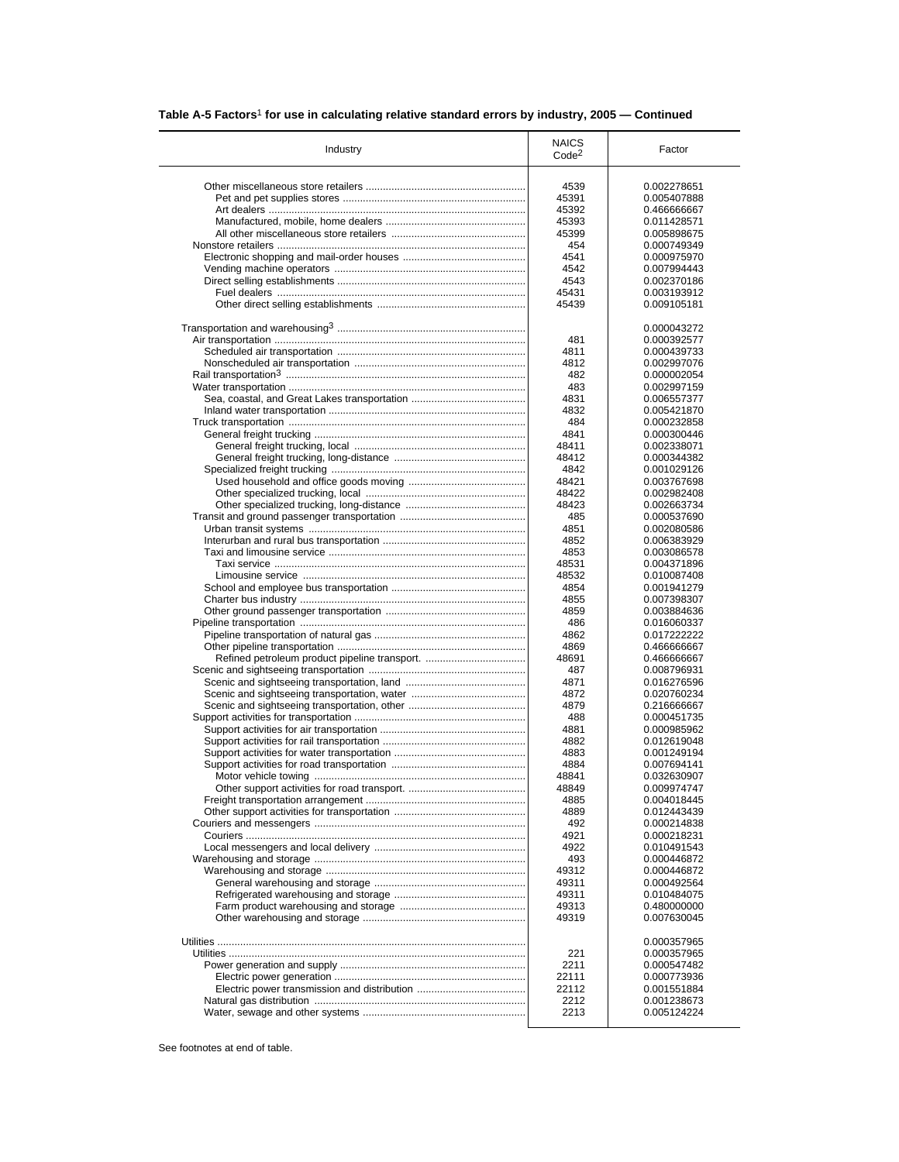| Industry                                      | <b>NAICS</b><br>Code <sup>2</sup> | Factor                     |
|-----------------------------------------------|-----------------------------------|----------------------------|
|                                               | 4539                              | 0.002278651                |
|                                               |                                   | 0.005407888                |
|                                               | 45391                             |                            |
|                                               | 45392                             | 0.466666667                |
|                                               | 45393                             | 0.011428571                |
|                                               | 45399                             | 0.005898675                |
|                                               | 454                               | 0.000749349                |
|                                               | 4541                              | 0.000975970                |
|                                               | 4542                              | 0.007994443                |
|                                               | 4543                              | 0.002370186                |
|                                               | 45431                             | 0.003193912                |
|                                               | 45439                             | 0.009105181                |
|                                               |                                   | 0.000043272                |
|                                               | 481                               | 0.000392577                |
|                                               | 4811                              | 0.000439733                |
|                                               |                                   |                            |
|                                               | 4812                              | 0.002997076                |
|                                               | 482                               | 0.000002054                |
|                                               | 483                               | 0.002997159                |
|                                               | 4831                              | 0.006557377                |
|                                               | 4832                              | 0.005421870                |
|                                               | 484                               | 0.000232858                |
|                                               | 4841                              | 0.000300446                |
|                                               |                                   |                            |
|                                               | 48411                             | 0.002338071                |
|                                               | 48412                             | 0.000344382                |
|                                               | 4842                              | 0.001029126                |
|                                               | 48421                             | 0.003767698                |
|                                               | 48422                             | 0.002982408                |
|                                               | 48423                             | 0.002663734                |
|                                               |                                   |                            |
|                                               | 485                               | 0.000537690                |
|                                               | 4851                              | 0.002080586                |
|                                               | 4852                              | 0.006383929                |
|                                               | 4853                              | 0.003086578                |
|                                               | 48531                             | 0.004371896                |
|                                               | 48532                             | 0.010087408                |
|                                               | 4854                              | 0.001941279                |
|                                               | 4855                              |                            |
|                                               |                                   | 0.007398307                |
|                                               | 4859                              | 0.003884636                |
|                                               | 486                               | 0.016060337                |
|                                               | 4862                              | 0.017222222                |
|                                               | 4869                              | 0.466666667                |
| Refined petroleum product pipeline transport. | 48691                             | 0.466666667                |
|                                               | 487                               | 0.008796931                |
|                                               | 4871                              |                            |
|                                               |                                   | 0.016276596                |
|                                               | 4872                              | 0.020760234                |
|                                               | 4879                              | 0.216666667                |
|                                               | 488                               | 0.000451735                |
|                                               | 4881                              | 0.000985962                |
|                                               | 4882                              | 0.012619048                |
|                                               | 4883                              | 0.001249194                |
|                                               | 4884                              | 0.007694141                |
|                                               |                                   |                            |
|                                               | 48841                             | 0.032630907                |
|                                               | 48849                             | 0.009974747                |
|                                               | 4885                              | 0.004018445                |
|                                               | 4889                              | 0.012443439                |
|                                               | 492                               | 0.000214838                |
|                                               | 4921                              | 0.000218231                |
|                                               | 4922                              | 0.010491543                |
|                                               |                                   |                            |
|                                               | 493                               | 0.000446872                |
|                                               | 49312                             | 0.000446872                |
|                                               | 49311                             | 0.000492564                |
|                                               | 49311                             | 0.010484075                |
|                                               | 49313<br>49319                    | 0.480000000<br>0.007630045 |
|                                               |                                   |                            |
|                                               |                                   |                            |
|                                               |                                   | 0.000357965                |
|                                               | 221                               | 0.000357965                |
|                                               | 2211                              | 0.000547482                |
|                                               | 22111                             | 0.000773936                |
|                                               | 22112                             | 0.001551884                |
|                                               | 2212                              | 0.001238673                |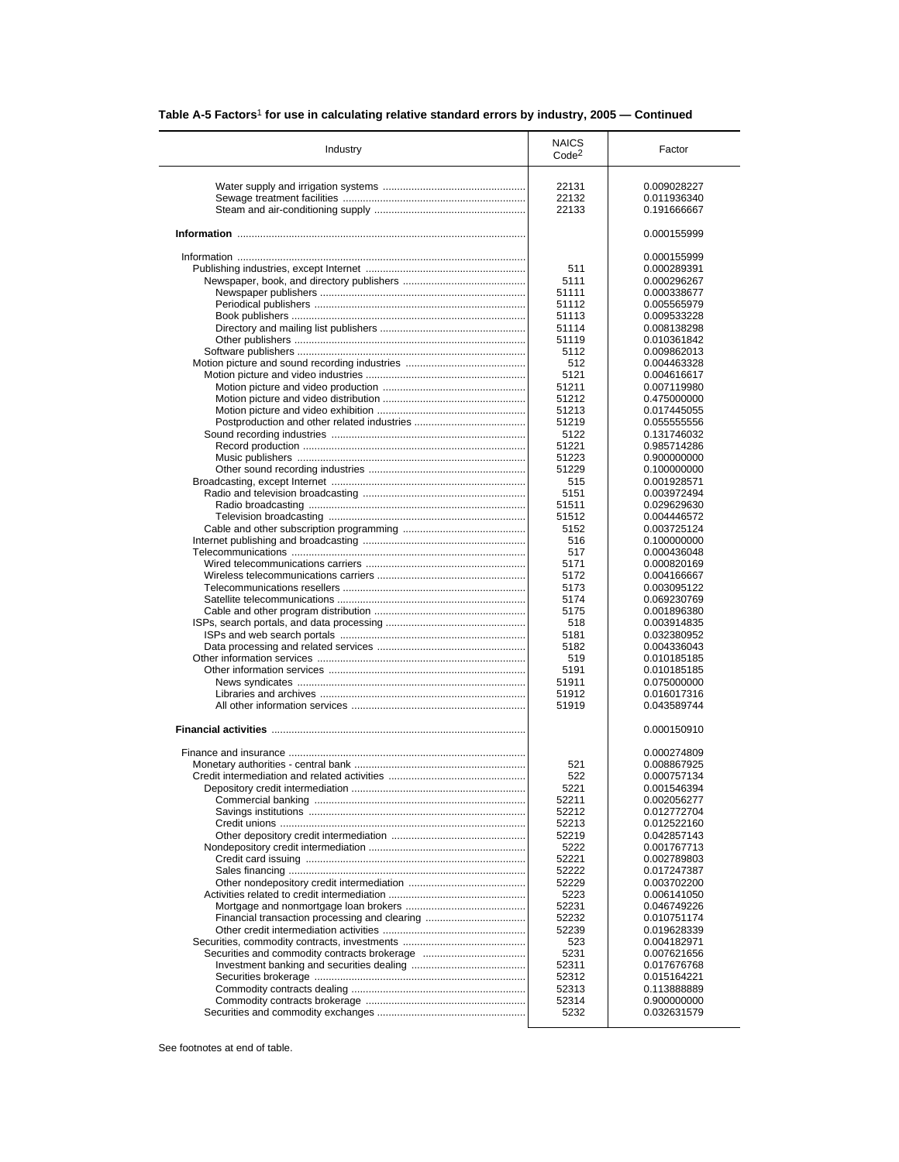| Table A-5 Factors <sup>1</sup> for use in calculating relative standard errors by industry, 2005 - Continued |  |
|--------------------------------------------------------------------------------------------------------------|--|
|                                                                                                              |  |

| Industry | <b>NAICS</b><br>Code <sup>2</sup> | Factor                     |
|----------|-----------------------------------|----------------------------|
|          | 22131                             | 0.009028227                |
|          | 22132                             | 0.011936340                |
|          | 22133                             | 0.191666667                |
|          |                                   | 0.000155999                |
|          |                                   |                            |
|          |                                   | 0.000155999                |
|          | 511                               | 0.000289391                |
|          | 5111<br>51111                     | 0.000296267<br>0.000338677 |
|          | 51112                             | 0.005565979                |
|          | 51113                             | 0.009533228                |
|          | 51114                             | 0.008138298                |
|          | 51119                             | 0.010361842                |
|          | 5112                              | 0.009862013                |
|          | 512                               | 0.004463328                |
|          | 5121                              | 0.004616617                |
|          | 51211                             | 0.007119980                |
|          | 51212                             | 0.475000000                |
|          | 51213                             | 0.017445055                |
|          | 51219                             | 0.055555556                |
|          | 5122                              | 0.131746032                |
|          | 51221                             | 0.985714286                |
|          | 51223<br>51229                    | 0.900000000<br>0.100000000 |
|          | 515                               | 0.001928571                |
|          | 5151                              | 0.003972494                |
|          | 51511                             | 0.029629630                |
|          | 51512                             | 0.004446572                |
|          | 5152                              | 0.003725124                |
|          | 516                               | 0.100000000                |
|          | 517                               | 0.000436048                |
|          | 5171                              | 0.000820169                |
|          | 5172                              | 0.004166667                |
|          | 5173                              | 0.003095122                |
|          | 5174                              | 0.069230769                |
|          | 5175                              | 0.001896380                |
|          | 518<br>5181                       | 0.003914835<br>0.032380952 |
|          | 5182                              | 0.004336043                |
|          | 519                               | 0.010185185                |
|          | 5191                              | 0.010185185                |
|          | 51911                             | 0.075000000                |
|          | 51912                             | 0.016017316                |
|          | 51919                             | 0.043589744                |
|          |                                   | 0.000150910                |
|          |                                   | 0.000274809                |
|          | 521                               | 0.008867925                |
|          | 522                               | 0.000757134                |
|          | 5221                              | 0.001546394                |
|          | 52211                             | 0.002056277                |
|          | 52212<br>52213                    | 0.012772704<br>0.012522160 |
|          | 52219                             | 0.042857143                |
|          | 5222                              | 0.001767713                |
|          | 52221                             | 0.002789803                |
|          | 52222                             | 0.017247387                |
|          | 52229                             | 0.003702200                |
|          | 5223                              | 0.006141050                |
|          | 52231                             | 0.046749226                |
|          | 52232                             | 0.010751174                |
|          | 52239                             | 0.019628339                |
|          | 523                               | 0.004182971                |
|          | 5231                              | 0.007621656                |
|          | 52311                             | 0.017676768                |
|          | 52312                             | 0.015164221<br>0.113888889 |
|          | 52313<br>52314                    | 0.900000000                |
|          |                                   |                            |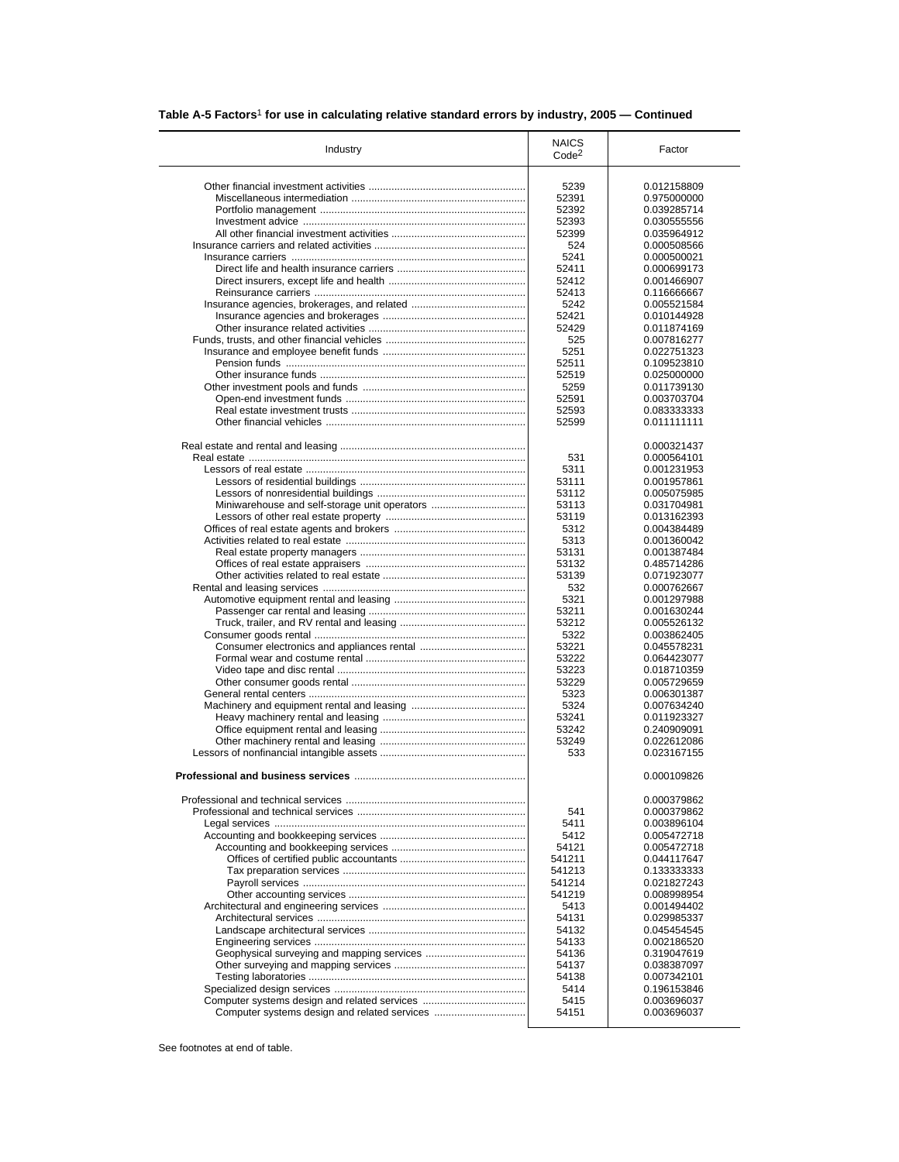| Industry                                      | <b>NAICS</b><br>Code <sup>2</sup> | Factor                     |
|-----------------------------------------------|-----------------------------------|----------------------------|
|                                               |                                   | 0.012158809                |
|                                               | 5239                              |                            |
|                                               | 52391                             | 0.975000000                |
|                                               | 52392                             | 0.039285714                |
|                                               | 52393                             | 0.030555556                |
|                                               | 52399                             | 0.035964912                |
|                                               | 524                               | 0.000508566                |
|                                               | 5241                              | 0.000500021                |
|                                               | 52411                             | 0.000699173                |
|                                               | 52412                             | 0.001466907                |
|                                               | 52413                             | 0.116666667                |
|                                               | 5242                              | 0.005521584                |
|                                               | 52421                             | 0.010144928                |
|                                               |                                   |                            |
|                                               | 52429                             | 0.011874169                |
|                                               | 525                               | 0.007816277                |
|                                               | 5251                              | 0.022751323                |
|                                               | 52511                             | 0.109523810                |
|                                               | 52519                             | 0.025000000                |
|                                               | 5259                              | 0.011739130                |
|                                               | 52591                             | 0.003703704                |
|                                               | 52593                             | 0.083333333                |
|                                               | 52599                             | 0.011111111                |
|                                               |                                   |                            |
|                                               |                                   | 0.000321437                |
|                                               |                                   | 0.000564101                |
|                                               | 531                               |                            |
|                                               | 5311                              | 0.001231953                |
|                                               | 53111                             | 0.001957861                |
|                                               | 53112                             | 0.005075985                |
| Miniwarehouse and self-storage unit operators | 53113                             | 0.031704981                |
|                                               | 53119                             | 0.013162393                |
|                                               | 5312                              | 0.004384489                |
|                                               | 5313                              | 0.001360042                |
|                                               | 53131                             | 0.001387484                |
|                                               | 53132                             | 0.485714286                |
|                                               | 53139                             | 0.071923077                |
|                                               | 532                               | 0.000762667                |
|                                               |                                   |                            |
|                                               | 5321                              | 0.001297988                |
|                                               | 53211                             | 0.001630244                |
|                                               | 53212                             | 0.005526132                |
|                                               | 5322                              | 0.003862405                |
|                                               | 53221                             | 0.045578231                |
|                                               | 53222                             | 0.064423077                |
|                                               | 53223                             | 0.018710359                |
|                                               | 53229                             | 0.005729659                |
|                                               | 5323                              | 0.006301387                |
|                                               | 5324                              | 0.007634240                |
|                                               | 53241                             | 0.011923327                |
|                                               | 53242                             |                            |
|                                               |                                   | 0.240909091                |
|                                               | 53249                             | 0.022612086                |
|                                               | 533                               | 0.023167155                |
|                                               |                                   | 0.000109826                |
|                                               |                                   |                            |
|                                               |                                   | 0.000379862                |
|                                               | 541                               | 0.000379862                |
|                                               | 5411                              | 0.003896104                |
|                                               | 5412                              | 0.005472718                |
|                                               | 54121                             | 0.005472718                |
|                                               | 541211                            | 0.044117647                |
|                                               | 541213                            | 0.133333333                |
|                                               | 541214                            | 0.021827243                |
|                                               | 541219                            | 0.008998954                |
|                                               | 5413                              | 0.001494402                |
|                                               |                                   |                            |
|                                               | 54131                             | 0.029985337                |
|                                               | 54132                             | 0.045454545                |
|                                               |                                   | 0.002186520                |
|                                               | 54133                             |                            |
|                                               | 54136                             | 0.319047619                |
|                                               | 54137                             | 0.038387097                |
|                                               | 54138                             | 0.007342101                |
|                                               |                                   |                            |
|                                               | 5414                              | 0.196153846                |
|                                               | 5415<br>54151                     | 0.003696037<br>0.003696037 |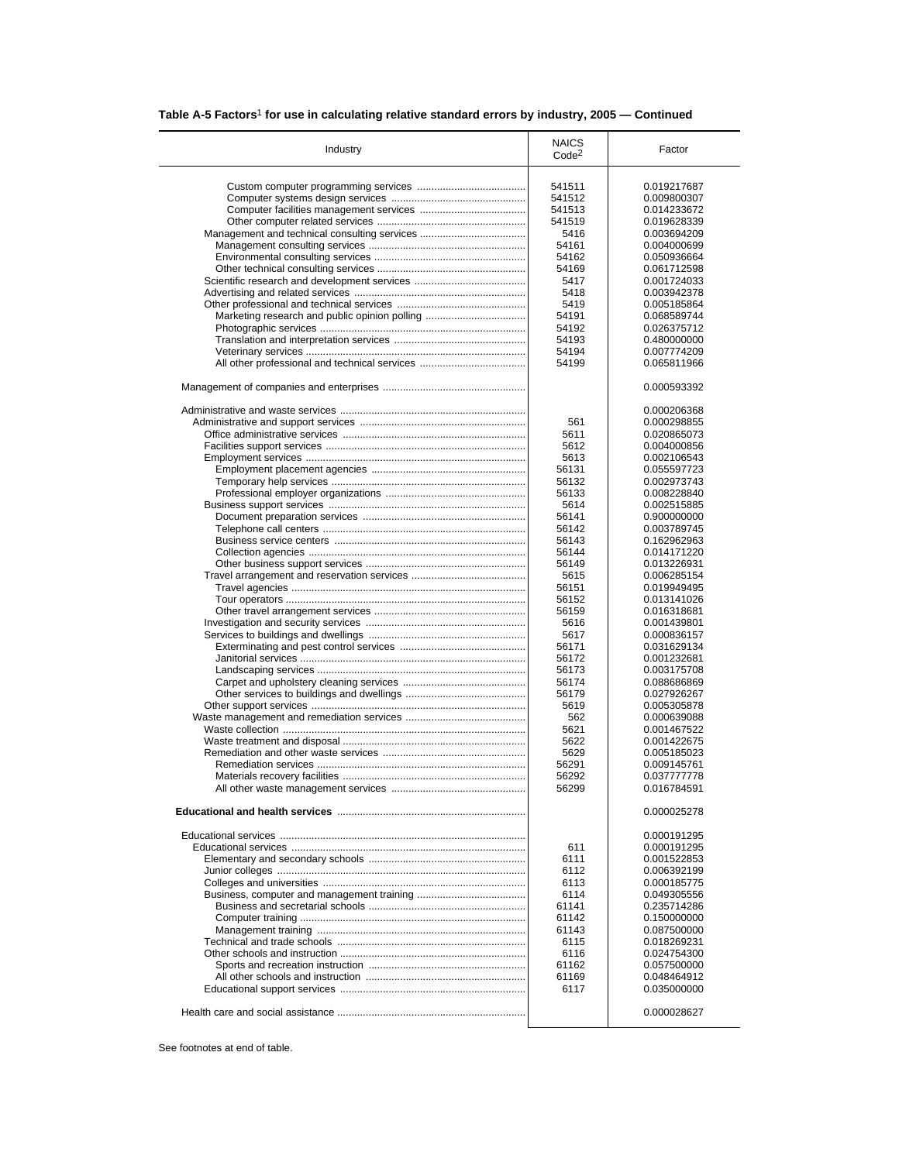| Table A-5 Factors <sup>1</sup> for use in calculating relative standard errors by industry, 2005 – Continued |  |  |  |  |
|--------------------------------------------------------------------------------------------------------------|--|--|--|--|
|--------------------------------------------------------------------------------------------------------------|--|--|--|--|

| Industry                                      | <b>NAICS</b><br>Code <sup>2</sup> | Factor      |
|-----------------------------------------------|-----------------------------------|-------------|
|                                               |                                   |             |
|                                               | 541511                            | 0.019217687 |
|                                               | 541512                            | 0.009800307 |
|                                               | 541513                            | 0.014233672 |
|                                               | 541519                            | 0.019628339 |
|                                               | 5416                              | 0.003694209 |
|                                               | 54161                             | 0.004000699 |
|                                               | 54162                             | 0.050936664 |
|                                               | 54169                             | 0.061712598 |
|                                               | 5417                              | 0.001724033 |
|                                               | 5418                              | 0.003942378 |
|                                               | 5419                              | 0.005185864 |
| Marketing research and public opinion polling | 54191                             | 0.068589744 |
|                                               | 54192                             | 0.026375712 |
|                                               | 54193                             | 0.480000000 |
|                                               | 54194                             | 0.007774209 |
| All other professional and technical services | 54199                             | 0.065811966 |
|                                               |                                   | 0.000593392 |
|                                               |                                   |             |
|                                               |                                   | 0.000206368 |
|                                               | 561                               | 0.000298855 |
|                                               | 5611                              | 0.020865073 |
|                                               | 5612                              | 0.004000856 |
|                                               | 5613                              | 0.002106543 |
|                                               | 56131                             | 0.055597723 |
|                                               | 56132                             | 0.002973743 |
|                                               | 56133                             | 0.008228840 |
|                                               | 5614                              | 0.002515885 |
|                                               | 56141                             | 0.900000000 |
|                                               | 56142                             | 0.003789745 |
|                                               | 56143                             | 0.162962963 |
|                                               | 56144                             | 0.014171220 |
|                                               | 56149                             | 0.013226931 |
|                                               | 5615                              | 0.006285154 |
|                                               |                                   |             |
|                                               | 56151                             | 0.019949495 |
|                                               | 56152                             | 0.013141026 |
|                                               | 56159                             | 0.016318681 |
|                                               | 5616                              | 0.001439801 |
|                                               | 5617                              | 0.000836157 |
|                                               | 56171                             | 0.031629134 |
|                                               | 56172                             | 0.001232681 |
|                                               | 56173                             | 0.003175708 |
|                                               | 56174                             | 0.088686869 |
|                                               | 56179                             | 0.027926267 |
|                                               | 5619                              | 0.005305878 |
|                                               | 562                               | 0.000639088 |
|                                               | 5621                              | 0.001467522 |
|                                               | 5622                              | 0.001422675 |
|                                               | 5629                              | 0.005185023 |
|                                               | 56291                             | 0.009145761 |
|                                               | 56292                             | 0.037777778 |
|                                               | 56299                             | 0.016784591 |
|                                               |                                   | 0.000025278 |
|                                               |                                   | 0.000191295 |
|                                               | 611                               | 0.000191295 |
|                                               | 6111                              | 0.001522853 |
|                                               |                                   |             |
|                                               | 6112                              | 0.006392199 |
|                                               | 6113                              | 0.000185775 |
|                                               | 6114                              | 0.049305556 |
|                                               | 61141                             | 0.235714286 |
|                                               | 61142                             | 0.150000000 |
|                                               | 61143                             | 0.087500000 |
|                                               | 6115                              | 0.018269231 |
|                                               | 6116                              | 0.024754300 |
|                                               | 61162                             | 0.057500000 |
|                                               | 61169                             | 0.048464912 |
|                                               | 6117                              | 0.035000000 |
|                                               |                                   |             |